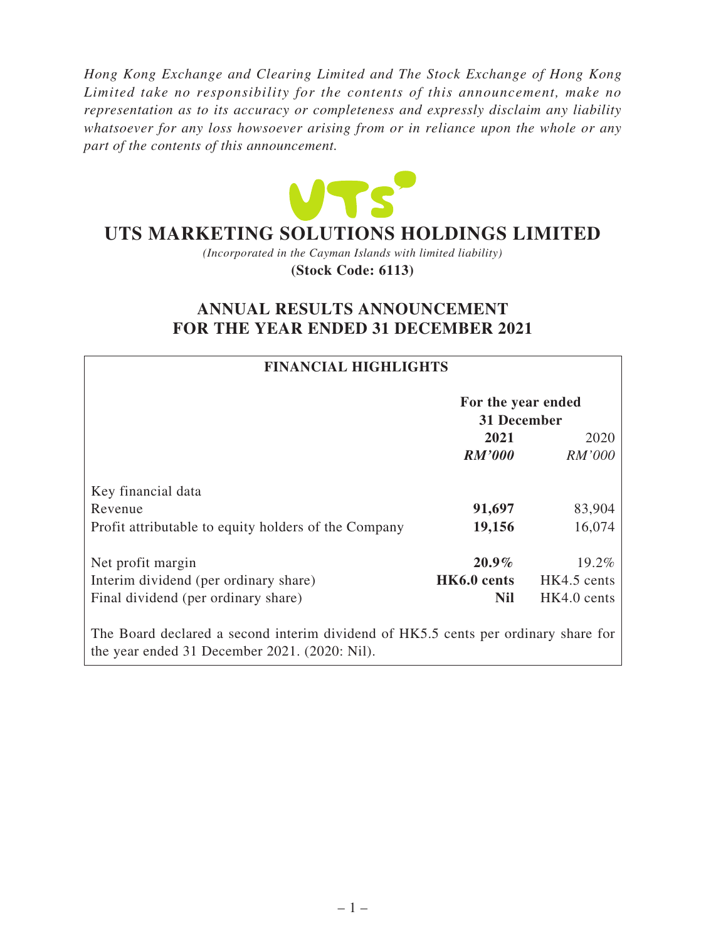*Hong Kong Exchange and Clearing Limited and The Stock Exchange of Hong Kong Limited take no responsibility for the contents of this announcement, make no representation as to its accuracy or completeness and expressly disclaim any liability whatsoever for any loss howsoever arising from or in reliance upon the whole or any part of the contents of this announcement.*



# **UTS MARKETING SOLUTIONS HOLDINGS LIMITED**

*(Incorporated in the Cayman Islands with limited liability)* **(Stock Code: 6113)**

# **ANNUAL RESULTS ANNOUNCEMENT FOR THE YEAR ENDED 31 DECEMBER 2021**

| <b>FINANCIAL HIGHLIGHTS</b>                                                                                                         |                                   |             |
|-------------------------------------------------------------------------------------------------------------------------------------|-----------------------------------|-------------|
|                                                                                                                                     | For the year ended<br>31 December |             |
|                                                                                                                                     | 2021                              | 2020        |
|                                                                                                                                     | <b>RM'000</b>                     | RM'000      |
| Key financial data                                                                                                                  |                                   |             |
| Revenue                                                                                                                             | 91,697                            | 83,904      |
| Profit attributable to equity holders of the Company                                                                                | 19,156                            | 16,074      |
| Net profit margin                                                                                                                   | $20.9\%$                          | 19.2%       |
| Interim dividend (per ordinary share)                                                                                               | HK6.0 cents                       | HK4.5 cents |
| Final dividend (per ordinary share)                                                                                                 | <b>Nil</b>                        | HK4.0 cents |
| The Board declared a second interim dividend of HK5.5 cents per ordinary share for<br>the year ended 31 December 2021. (2020: Nil). |                                   |             |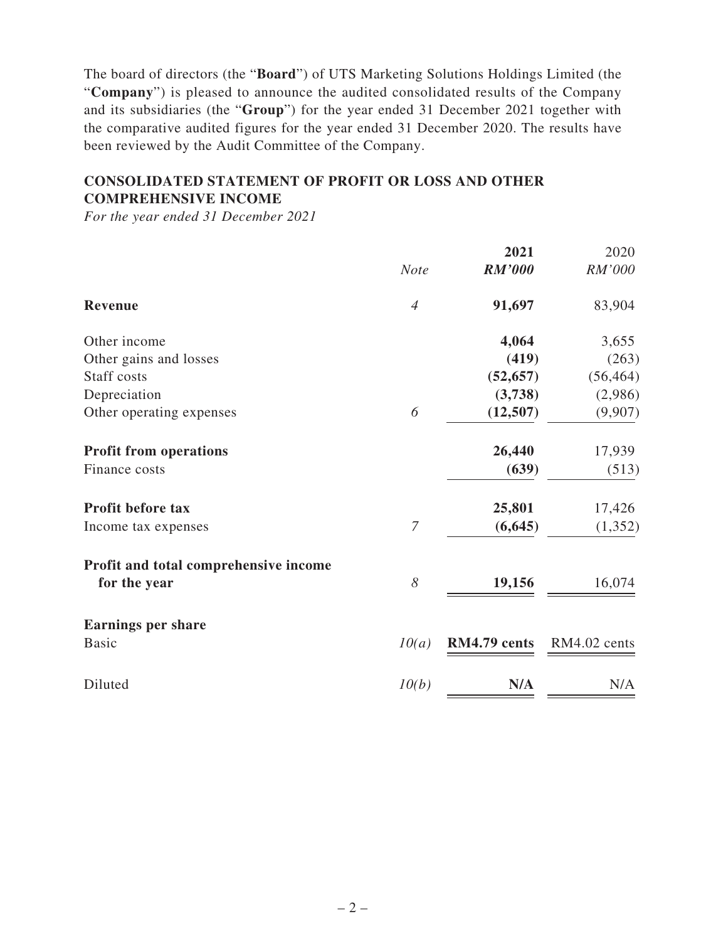The board of directors (the "**Board**") of UTS Marketing Solutions Holdings Limited (the "**Company**") is pleased to announce the audited consolidated results of the Company and its subsidiaries (the "**Group**") for the year ended 31 December 2021 together with the comparative audited figures for the year ended 31 December 2020. The results have been reviewed by the Audit Committee of the Company.

# **CONSOLIDATED STATEMENT OF PROFIT OR LOSS AND OTHER COMPREHENSIVE INCOME**

*For the year ended 31 December 2021*

|                                       |                | 2021          | 2020         |
|---------------------------------------|----------------|---------------|--------------|
|                                       | <b>Note</b>    | <b>RM'000</b> | RM'000       |
| <b>Revenue</b>                        | $\overline{4}$ | 91,697        | 83,904       |
| Other income                          |                | 4,064         | 3,655        |
| Other gains and losses                |                | (419)         | (263)        |
| Staff costs                           |                | (52, 657)     | (56, 464)    |
| Depreciation                          |                | (3,738)       | (2,986)      |
| Other operating expenses              | 6              | (12,507)      | (9,907)      |
| <b>Profit from operations</b>         |                | 26,440        | 17,939       |
| Finance costs                         |                | (639)         | (513)        |
| <b>Profit before tax</b>              |                | 25,801        | 17,426       |
| Income tax expenses                   | $\overline{7}$ | (6, 645)      | (1, 352)     |
| Profit and total comprehensive income |                |               |              |
| for the year                          | 8              | 19,156        | 16,074       |
| <b>Earnings per share</b>             |                |               |              |
| <b>Basic</b>                          | 10(a)          | RM4.79 cents  | RM4.02 cents |
| Diluted                               | 10(b)          | N/A           | N/A          |
|                                       |                |               |              |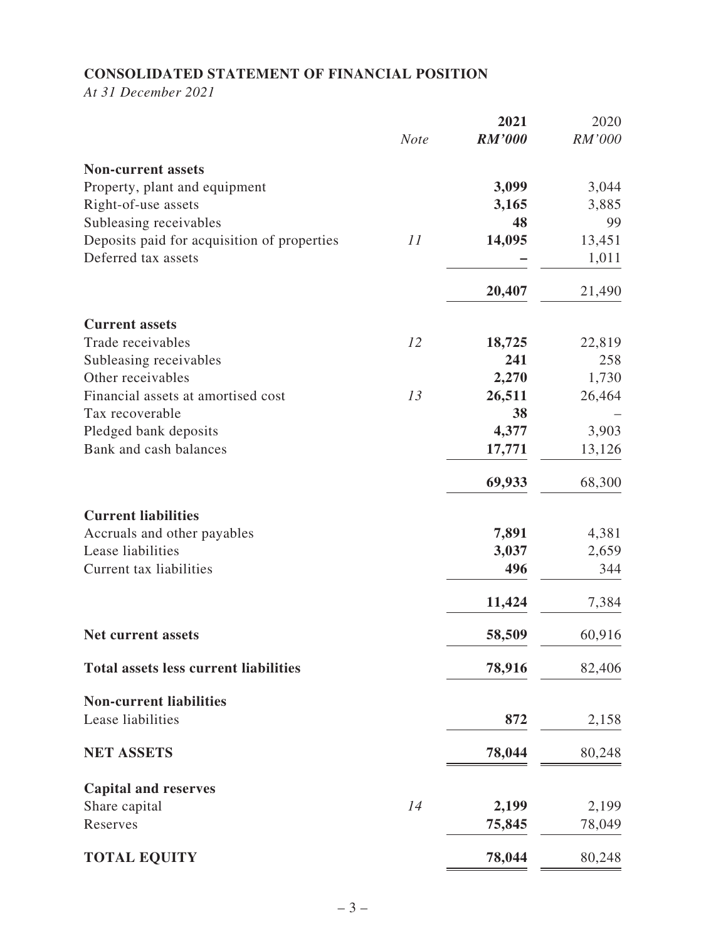# **CONSOLIDATED STATEMENT OF FINANCIAL POSITION**

*At 31 December 2021*

|                                              |             | 2021          | 2020   |
|----------------------------------------------|-------------|---------------|--------|
|                                              | <b>Note</b> | <b>RM'000</b> | RM'000 |
| <b>Non-current assets</b>                    |             |               |        |
| Property, plant and equipment                |             | 3,099         | 3,044  |
| Right-of-use assets                          |             | 3,165         | 3,885  |
| Subleasing receivables                       |             | 48            | 99     |
| Deposits paid for acquisition of properties  | 11          | 14,095        | 13,451 |
| Deferred tax assets                          |             |               | 1,011  |
|                                              |             | 20,407        | 21,490 |
| <b>Current assets</b>                        |             |               |        |
| Trade receivables                            | 12          | 18,725        | 22,819 |
| Subleasing receivables                       |             | 241           | 258    |
| Other receivables                            |             | 2,270         | 1,730  |
| Financial assets at amortised cost           | 13          | 26,511        | 26,464 |
| Tax recoverable                              |             | 38            |        |
| Pledged bank deposits                        |             | 4,377         | 3,903  |
| Bank and cash balances                       |             | 17,771        | 13,126 |
|                                              |             | 69,933        | 68,300 |
| <b>Current liabilities</b>                   |             |               |        |
| Accruals and other payables                  |             | 7,891         | 4,381  |
| Lease liabilities                            |             | 3,037         | 2,659  |
| Current tax liabilities                      |             | 496           | 344    |
|                                              |             | 11,424        | 7,384  |
| <b>Net current assets</b>                    |             | 58,509        | 60,916 |
| <b>Total assets less current liabilities</b> |             | 78,916        | 82,406 |
| <b>Non-current liabilities</b>               |             |               |        |
| Lease liabilities                            |             | 872           | 2,158  |
| <b>NET ASSETS</b>                            |             | 78,044        | 80,248 |
| <b>Capital and reserves</b>                  |             |               |        |
| Share capital                                | 14          | 2,199         | 2,199  |
| Reserves                                     |             | 75,845        | 78,049 |
| <b>TOTAL EQUITY</b>                          |             | 78,044        | 80,248 |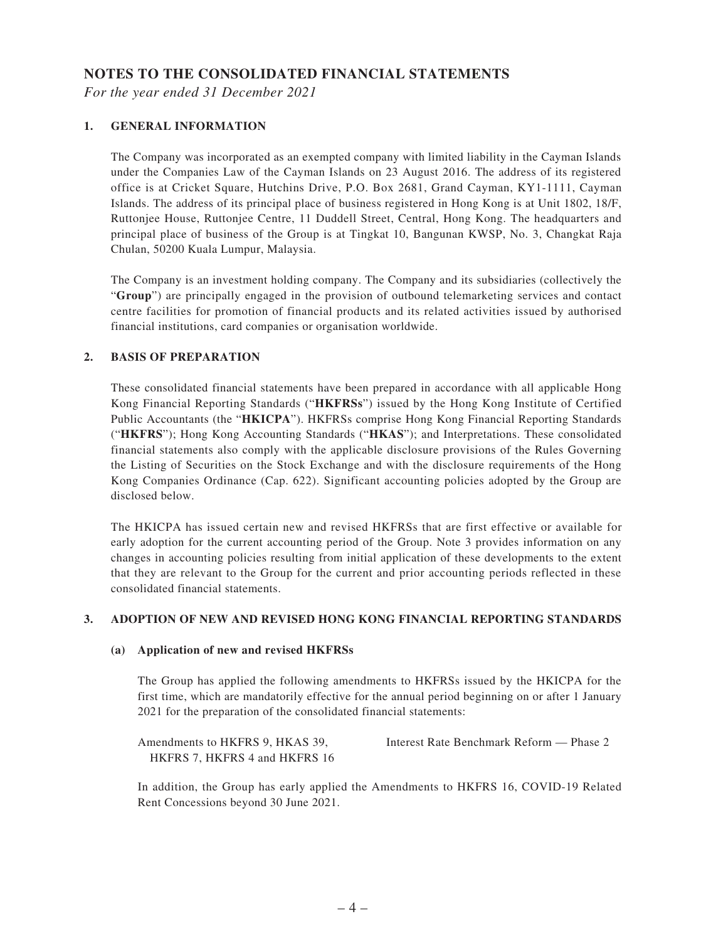#### **NOTES TO THE CONSOLIDATED FINANCIAL STATEMENTS**

*For the year ended 31 December 2021*

#### **1. GENERAL INFORMATION**

The Company was incorporated as an exempted company with limited liability in the Cayman Islands under the Companies Law of the Cayman Islands on 23 August 2016. The address of its registered office is at Cricket Square, Hutchins Drive, P.O. Box 2681, Grand Cayman, KY1-1111, Cayman Islands. The address of its principal place of business registered in Hong Kong is at Unit 1802, 18/F, Ruttonjee House, Ruttonjee Centre, 11 Duddell Street, Central, Hong Kong. The headquarters and principal place of business of the Group is at Tingkat 10, Bangunan KWSP, No. 3, Changkat Raja Chulan, 50200 Kuala Lumpur, Malaysia.

The Company is an investment holding company. The Company and its subsidiaries (collectively the "**Group**") are principally engaged in the provision of outbound telemarketing services and contact centre facilities for promotion of financial products and its related activities issued by authorised financial institutions, card companies or organisation worldwide.

#### **2. BASIS OF PREPARATION**

These consolidated financial statements have been prepared in accordance with all applicable Hong Kong Financial Reporting Standards ("**HKFRSs**") issued by the Hong Kong Institute of Certified Public Accountants (the "**HKICPA**"). HKFRSs comprise Hong Kong Financial Reporting Standards ("**HKFRS**"); Hong Kong Accounting Standards ("**HKAS**"); and Interpretations. These consolidated financial statements also comply with the applicable disclosure provisions of the Rules Governing the Listing of Securities on the Stock Exchange and with the disclosure requirements of the Hong Kong Companies Ordinance (Cap. 622). Significant accounting policies adopted by the Group are disclosed below.

The HKICPA has issued certain new and revised HKFRSs that are first effective or available for early adoption for the current accounting period of the Group. Note 3 provides information on any changes in accounting policies resulting from initial application of these developments to the extent that they are relevant to the Group for the current and prior accounting periods reflected in these consolidated financial statements.

#### **3. ADOPTION OF NEW AND REVISED HONG KONG FINANCIAL REPORTING STANDARDS**

#### **(a) Application of new and revised HKFRSs**

The Group has applied the following amendments to HKFRSs issued by the HKICPA for the first time, which are mandatorily effective for the annual period beginning on or after 1 January 2021 for the preparation of the consolidated financial statements:

Amendments to HKFRS 9, HKAS 39, HKFRS 7, HKFRS 4 and HKFRS 16 Interest Rate Benchmark Reform — Phase 2

In addition, the Group has early applied the Amendments to HKFRS 16, COVID-19 Related Rent Concessions beyond 30 June 2021.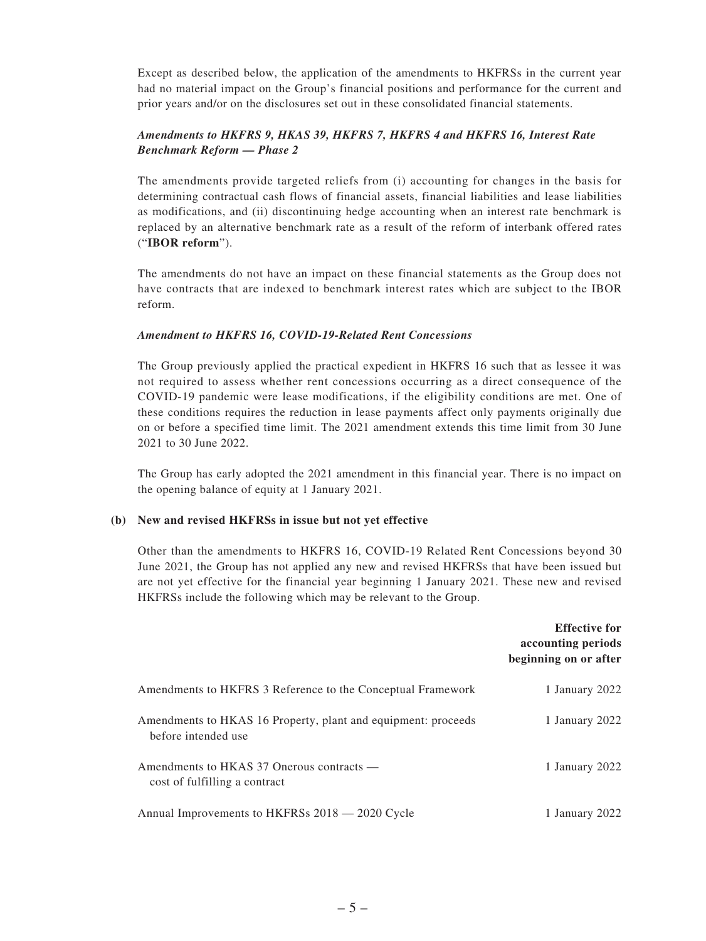Except as described below, the application of the amendments to HKFRSs in the current year had no material impact on the Group's financial positions and performance for the current and prior years and/or on the disclosures set out in these consolidated financial statements.

#### *Amendments to HKFRS 9, HKAS 39, HKFRS 7, HKFRS 4 and HKFRS 16, Interest Rate Benchmark Reform — Phase 2*

The amendments provide targeted reliefs from (i) accounting for changes in the basis for determining contractual cash flows of financial assets, financial liabilities and lease liabilities as modifications, and (ii) discontinuing hedge accounting when an interest rate benchmark is replaced by an alternative benchmark rate as a result of the reform of interbank offered rates ("**IBOR reform**").

The amendments do not have an impact on these financial statements as the Group does not have contracts that are indexed to benchmark interest rates which are subject to the IBOR reform.

#### *Amendment to HKFRS 16, COVID-19-Related Rent Concessions*

The Group previously applied the practical expedient in HKFRS 16 such that as lessee it was not required to assess whether rent concessions occurring as a direct consequence of the COVID-19 pandemic were lease modifications, if the eligibility conditions are met. One of these conditions requires the reduction in lease payments affect only payments originally due on or before a specified time limit. The 2021 amendment extends this time limit from 30 June 2021 to 30 June 2022.

The Group has early adopted the 2021 amendment in this financial year. There is no impact on the opening balance of equity at 1 January 2021.

#### **(b) New and revised HKFRSs in issue but not yet effective**

Other than the amendments to HKFRS 16, COVID-19 Related Rent Concessions beyond 30 June 2021, the Group has not applied any new and revised HKFRSs that have been issued but are not yet effective for the financial year beginning 1 January 2021. These new and revised HKFRSs include the following which may be relevant to the Group.

|                                                                                      | <b>Effective for</b><br>accounting periods<br>beginning on or after |
|--------------------------------------------------------------------------------------|---------------------------------------------------------------------|
| Amendments to HKFRS 3 Reference to the Conceptual Framework                          | 1 January 2022                                                      |
| Amendments to HKAS 16 Property, plant and equipment: proceeds<br>before intended use | 1 January 2022                                                      |
| Amendments to HKAS 37 Onerous contracts —<br>cost of fulfilling a contract           | 1 January 2022                                                      |
| Annual Improvements to HKFRSs 2018 — 2020 Cycle                                      | 1 January 2022                                                      |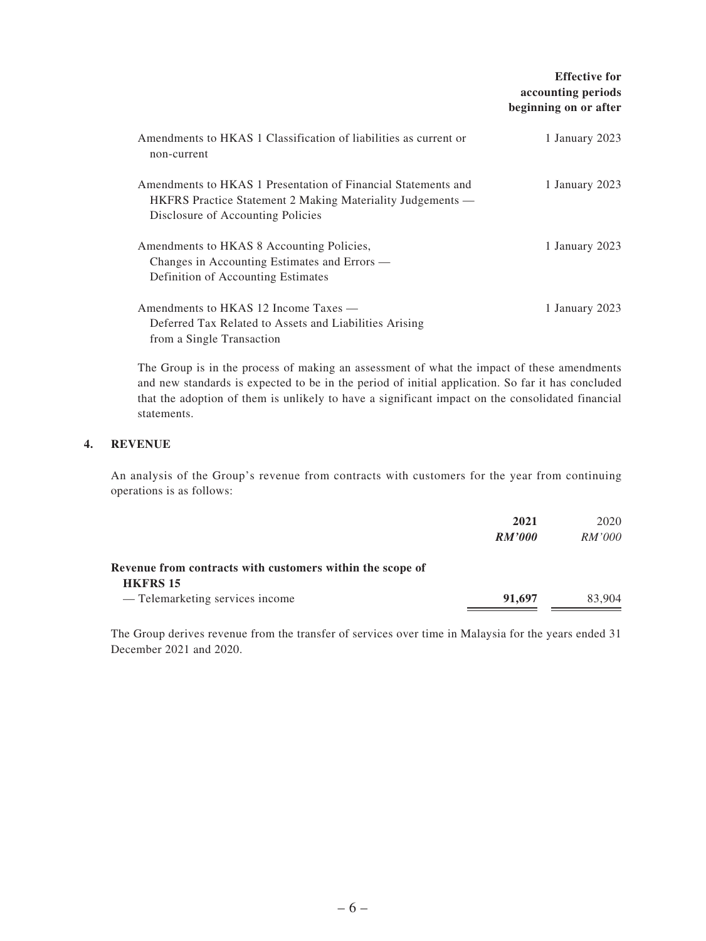|                                                                                                                                                                         | <b>Effective for</b><br>accounting periods<br>beginning on or after |
|-------------------------------------------------------------------------------------------------------------------------------------------------------------------------|---------------------------------------------------------------------|
| Amendments to HKAS 1 Classification of liabilities as current or<br>non-current                                                                                         | 1 January 2023                                                      |
| Amendments to HKAS 1 Presentation of Financial Statements and<br><b>HKFRS</b> Practice Statement 2 Making Materiality Judgements —<br>Disclosure of Accounting Policies | 1 January 2023                                                      |
| Amendments to HKAS 8 Accounting Policies,<br>Changes in Accounting Estimates and Errors —<br>Definition of Accounting Estimates                                         | 1 January 2023                                                      |
| Amendments to HKAS 12 Income Taxes —<br>Deferred Tax Related to Assets and Liabilities Arising<br>from a Single Transaction                                             | 1 January 2023                                                      |

The Group is in the process of making an assessment of what the impact of these amendments and new standards is expected to be in the period of initial application. So far it has concluded that the adoption of them is unlikely to have a significant impact on the consolidated financial statements.

#### **4. REVENUE**

An analysis of the Group's revenue from contracts with customers for the year from continuing operations is as follows:

|                                                           | 2021          | 2020   |
|-----------------------------------------------------------|---------------|--------|
|                                                           | <b>RM'000</b> | RM'000 |
| Revenue from contracts with customers within the scope of |               |        |
| <b>HKFRS 15</b>                                           |               |        |
| - Telemarketing services income                           | 91,697        | 83,904 |

The Group derives revenue from the transfer of services over time in Malaysia for the years ended 31 December 2021 and 2020.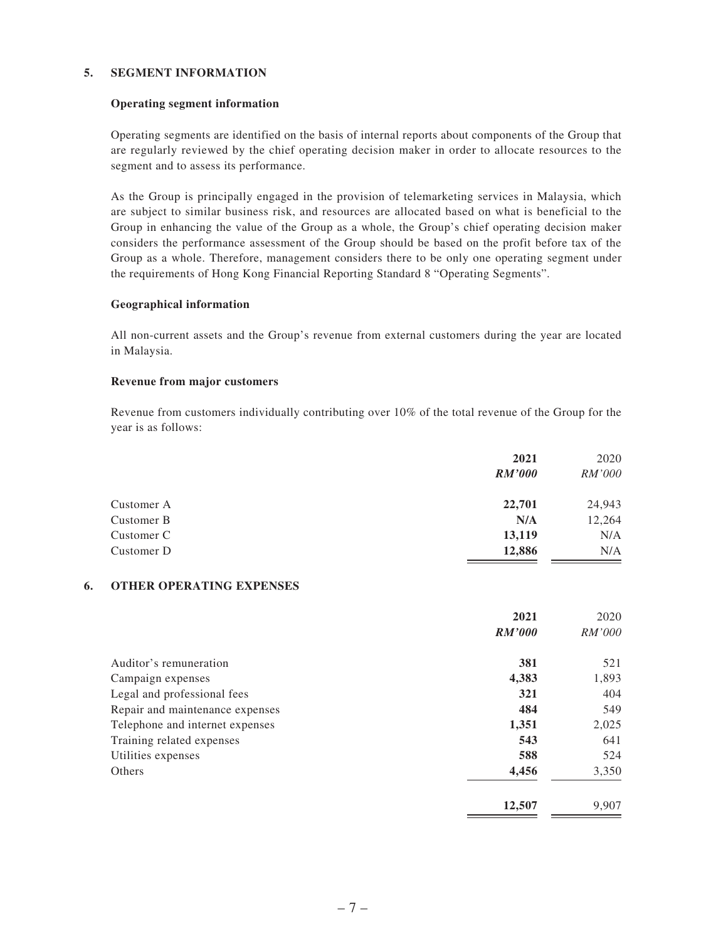#### **5. SEGMENT INFORMATION**

#### **Operating segment information**

Operating segments are identified on the basis of internal reports about components of the Group that are regularly reviewed by the chief operating decision maker in order to allocate resources to the segment and to assess its performance.

As the Group is principally engaged in the provision of telemarketing services in Malaysia, which are subject to similar business risk, and resources are allocated based on what is beneficial to the Group in enhancing the value of the Group as a whole, the Group's chief operating decision maker considers the performance assessment of the Group should be based on the profit before tax of the Group as a whole. Therefore, management considers there to be only one operating segment under the requirements of Hong Kong Financial Reporting Standard 8 "Operating Segments".

#### **Geographical information**

All non-current assets and the Group's revenue from external customers during the year are located in Malaysia.

#### **Revenue from major customers**

Revenue from customers individually contributing over 10% of the total revenue of the Group for the year is as follows:

|            | 2021          | 2020          |
|------------|---------------|---------------|
|            | <i>RM'000</i> | <i>RM'000</i> |
| Customer A | 22,701        | 24,943        |
| Customer B | N/A           | 12,264        |
| Customer C | 13,119        | N/A           |
| Customer D | 12,886        | N/A           |

#### **6. OTHER OPERATING EXPENSES**

|                                 | 2021          | 2020          |
|---------------------------------|---------------|---------------|
|                                 | <b>RM'000</b> | <i>RM'000</i> |
| Auditor's remuneration          | 381           | 521           |
| Campaign expenses               | 4,383         | 1,893         |
| Legal and professional fees     | 321           | 404           |
| Repair and maintenance expenses | 484           | 549           |
| Telephone and internet expenses | 1,351         | 2,025         |
| Training related expenses       | 543           | 641           |
| Utilities expenses              | 588           | 524           |
| Others                          | 4,456         | 3,350         |
|                                 | 12,507        | 9,907         |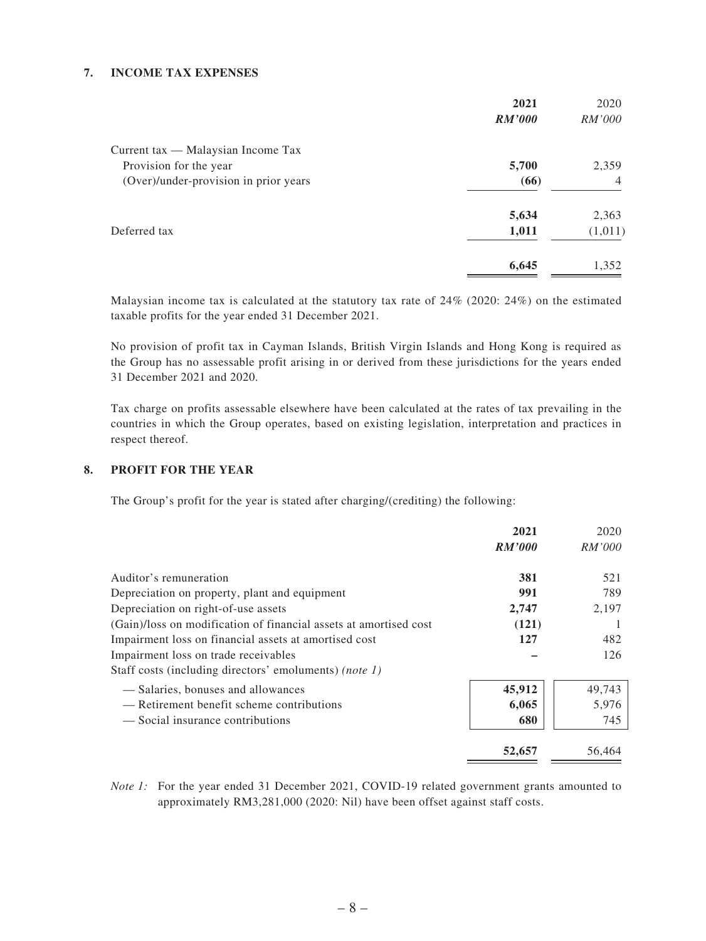#### **7. INCOME TAX EXPENSES**

| 2021          | 2020           |
|---------------|----------------|
| <b>RM'000</b> | <i>RM'000</i>  |
|               |                |
| 5,700         | 2,359          |
| (66)          | $\overline{4}$ |
| 5,634         | 2,363          |
| 1,011         | (1,011)        |
| 6,645         | 1,352          |
|               |                |

Malaysian income tax is calculated at the statutory tax rate of 24% (2020: 24%) on the estimated taxable profits for the year ended 31 December 2021.

No provision of profit tax in Cayman Islands, British Virgin Islands and Hong Kong is required as the Group has no assessable profit arising in or derived from these jurisdictions for the years ended 31 December 2021 and 2020.

Tax charge on profits assessable elsewhere have been calculated at the rates of tax prevailing in the countries in which the Group operates, based on existing legislation, interpretation and practices in respect thereof.

#### **8. PROFIT FOR THE YEAR**

The Group's profit for the year is stated after charging/(crediting) the following:

|                                                                   | 2021          | 2020          |
|-------------------------------------------------------------------|---------------|---------------|
|                                                                   | <b>RM'000</b> | <i>RM'000</i> |
| Auditor's remuneration                                            | 381           | 521           |
| Depreciation on property, plant and equipment                     | 991           | 789           |
| Depreciation on right-of-use assets                               | 2,747         | 2,197         |
| (Gain)/loss on modification of financial assets at amortised cost | (121)         |               |
| Impairment loss on financial assets at amortised cost             | 127           | 482           |
| Impairment loss on trade receivables                              |               | 126           |
| Staff costs (including directors' emoluments) (note 1)            |               |               |
| — Salaries, bonuses and allowances                                | 45,912        | 49,743        |
| — Retirement benefit scheme contributions                         | 6,065         | 5,976         |
| — Social insurance contributions                                  | 680           | 745           |
|                                                                   | 52,657        | 56,464        |

*Note 1*: For the year ended 31 December 2021, COVID-19 related government grants amounted to approximately RM3,281,000 (2020: Nil) have been offset against staff costs.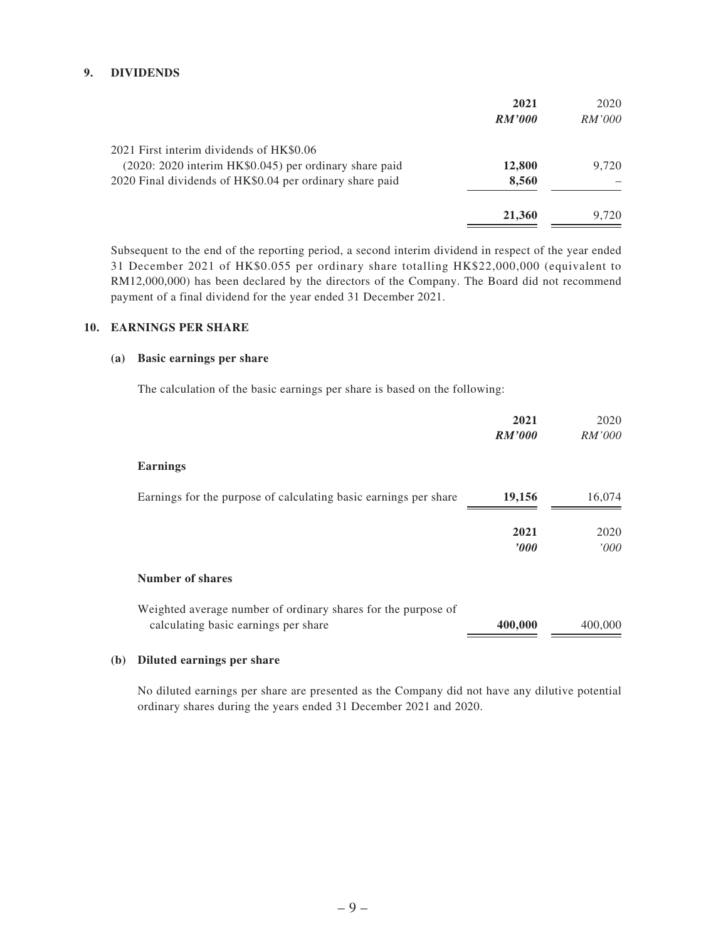#### **9. DIVIDENDS**

|                                                          | 2021          | 2020          |
|----------------------------------------------------------|---------------|---------------|
|                                                          | <i>RM'000</i> | <i>RM'000</i> |
| 2021 First interim dividends of HK\$0.06                 |               |               |
| (2020: 2020 interim HK\$0.045) per ordinary share paid   | 12,800        | 9.720         |
| 2020 Final dividends of HK\$0.04 per ordinary share paid | 8,560         |               |
|                                                          | 21,360        | 9.720         |

Subsequent to the end of the reporting period, a second interim dividend in respect of the year ended 31 December 2021 of HK\$0.055 per ordinary share totalling HK\$22,000,000 (equivalent to RM12,000,000) has been declared by the directors of the Company. The Board did not recommend payment of a final dividend for the year ended 31 December 2021.

#### **10. EARNINGS PER SHARE**

#### **(a) Basic earnings per share**

The calculation of the basic earnings per share is based on the following:

|                                                                                                       | 2021             | 2020         |
|-------------------------------------------------------------------------------------------------------|------------------|--------------|
|                                                                                                       | <b>RM'000</b>    | RM'000       |
| <b>Earnings</b>                                                                                       |                  |              |
| Earnings for the purpose of calculating basic earnings per share                                      | 19,156           | 16,074       |
|                                                                                                       | 2021<br>$\bm{v}$ | 2020<br>000' |
| <b>Number of shares</b>                                                                               |                  |              |
| Weighted average number of ordinary shares for the purpose of<br>calculating basic earnings per share | 400,000          | 400,000      |

#### **(b) Diluted earnings per share**

No diluted earnings per share are presented as the Company did not have any dilutive potential ordinary shares during the years ended 31 December 2021 and 2020.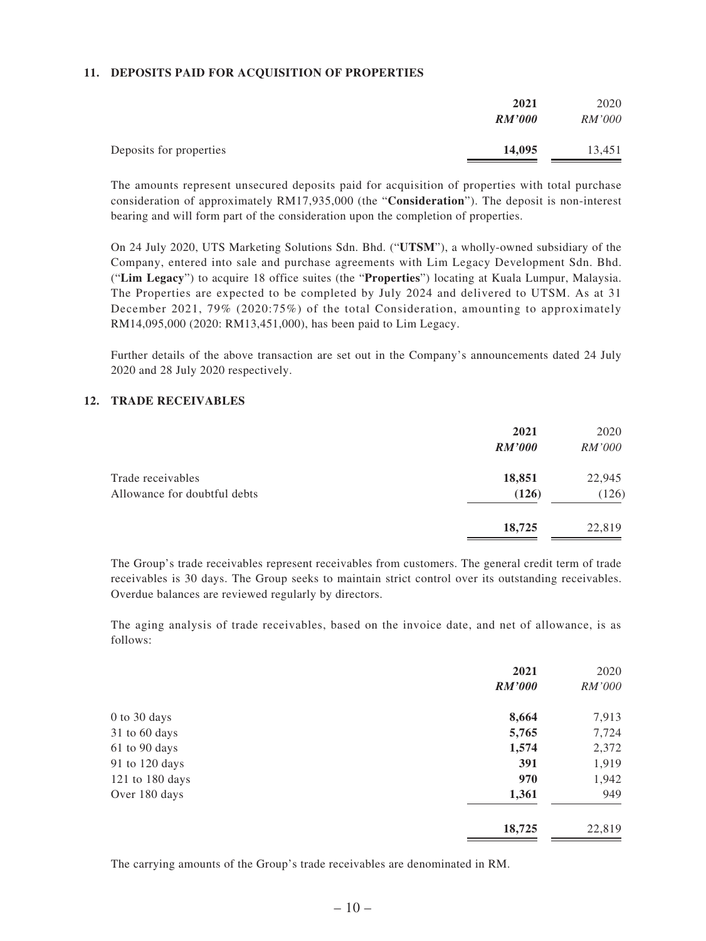#### **11. DEPOSITS PAID FOR ACQUISITION OF PROPERTIES**

|                         | 2021<br><b>RM'000</b> | 2020<br><i>RM'000</i> |
|-------------------------|-----------------------|-----------------------|
| Deposits for properties | 14,095                | 13,451                |

The amounts represent unsecured deposits paid for acquisition of properties with total purchase consideration of approximately RM17,935,000 (the "**Consideration**"). The deposit is non-interest bearing and will form part of the consideration upon the completion of properties.

On 24 July 2020, UTS Marketing Solutions Sdn. Bhd. ("**UTSM**"), a wholly-owned subsidiary of the Company, entered into sale and purchase agreements with Lim Legacy Development Sdn. Bhd. ("**Lim Legacy**") to acquire 18 office suites (the "**Properties**") locating at Kuala Lumpur, Malaysia. The Properties are expected to be completed by July 2024 and delivered to UTSM. As at 31 December 2021, 79% (2020:75%) of the total Consideration, amounting to approximately RM14,095,000 (2020: RM13,451,000), has been paid to Lim Legacy.

Further details of the above transaction are set out in the Company's announcements dated 24 July 2020 and 28 July 2020 respectively.

#### **12. TRADE RECEIVABLES**

|                                                   | 2021<br><b>RM'000</b> | 2020<br><i>RM'000</i> |
|---------------------------------------------------|-----------------------|-----------------------|
| Trade receivables<br>Allowance for doubtful debts | 18,851<br>(126)       | 22,945<br>(126)       |
|                                                   | 18,725                | 22,819                |

The Group's trade receivables represent receivables from customers. The general credit term of trade receivables is 30 days. The Group seeks to maintain strict control over its outstanding receivables. Overdue balances are reviewed regularly by directors.

The aging analysis of trade receivables, based on the invoice date, and net of allowance, is as follows:

|                 | 2021          | 2020   |
|-----------------|---------------|--------|
|                 | <b>RM'000</b> | RM'000 |
| 0 to 30 days    | 8,664         | 7,913  |
| 31 to 60 days   | 5,765         | 7,724  |
| 61 to 90 days   | 1,574         | 2,372  |
| 91 to 120 days  | 391           | 1,919  |
| 121 to 180 days | 970           | 1,942  |
| Over 180 days   | 1,361         | 949    |
|                 | 18,725        | 22,819 |

The carrying amounts of the Group's trade receivables are denominated in RM.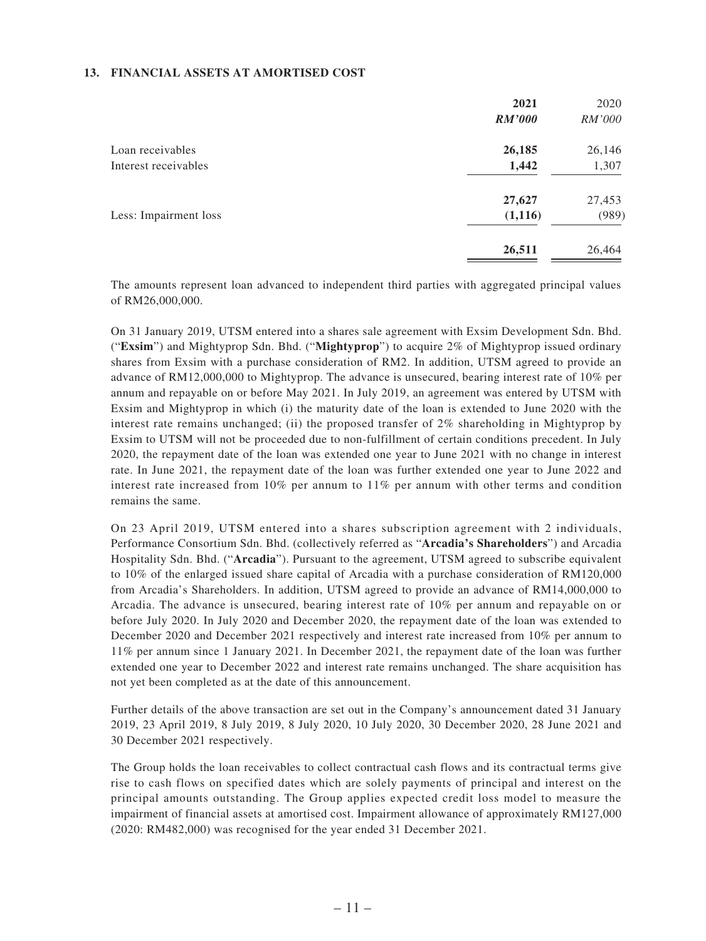#### **13. FINANCIAL ASSETS AT AMORTISED COST**

|                       | 2021          | 2020          |
|-----------------------|---------------|---------------|
|                       | <b>RM'000</b> | <i>RM'000</i> |
| Loan receivables      | 26,185        | 26,146        |
| Interest receivables  | 1,442         | 1,307         |
|                       | 27,627        | 27,453        |
| Less: Impairment loss | (1,116)       | (989)         |
|                       | 26,511        | 26,464        |

The amounts represent loan advanced to independent third parties with aggregated principal values of RM26,000,000.

On 31 January 2019, UTSM entered into a shares sale agreement with Exsim Development Sdn. Bhd. ("**Exsim**") and Mightyprop Sdn. Bhd. ("**Mightyprop**") to acquire 2% of Mightyprop issued ordinary shares from Exsim with a purchase consideration of RM2. In addition, UTSM agreed to provide an advance of RM12,000,000 to Mightyprop. The advance is unsecured, bearing interest rate of 10% per annum and repayable on or before May 2021. In July 2019, an agreement was entered by UTSM with Exsim and Mightyprop in which (i) the maturity date of the loan is extended to June 2020 with the interest rate remains unchanged; (ii) the proposed transfer of 2% shareholding in Mightyprop by Exsim to UTSM will not be proceeded due to non-fulfillment of certain conditions precedent. In July 2020, the repayment date of the loan was extended one year to June 2021 with no change in interest rate. In June 2021, the repayment date of the loan was further extended one year to June 2022 and interest rate increased from 10% per annum to 11% per annum with other terms and condition remains the same.

On 23 April 2019, UTSM entered into a shares subscription agreement with 2 individuals, Performance Consortium Sdn. Bhd. (collectively referred as "**Arcadia's Shareholders**") and Arcadia Hospitality Sdn. Bhd. ("**Arcadia**"). Pursuant to the agreement, UTSM agreed to subscribe equivalent to 10% of the enlarged issued share capital of Arcadia with a purchase consideration of RM120,000 from Arcadia's Shareholders. In addition, UTSM agreed to provide an advance of RM14,000,000 to Arcadia. The advance is unsecured, bearing interest rate of 10% per annum and repayable on or before July 2020. In July 2020 and December 2020, the repayment date of the loan was extended to December 2020 and December 2021 respectively and interest rate increased from 10% per annum to 11% per annum since 1 January 2021. In December 2021, the repayment date of the loan was further extended one year to December 2022 and interest rate remains unchanged. The share acquisition has not yet been completed as at the date of this announcement.

Further details of the above transaction are set out in the Company's announcement dated 31 January 2019, 23 April 2019, 8 July 2019, 8 July 2020, 10 July 2020, 30 December 2020, 28 June 2021 and 30 December 2021 respectively.

The Group holds the loan receivables to collect contractual cash flows and its contractual terms give rise to cash flows on specified dates which are solely payments of principal and interest on the principal amounts outstanding. The Group applies expected credit loss model to measure the impairment of financial assets at amortised cost. Impairment allowance of approximately RM127,000 (2020: RM482,000) was recognised for the year ended 31 December 2021.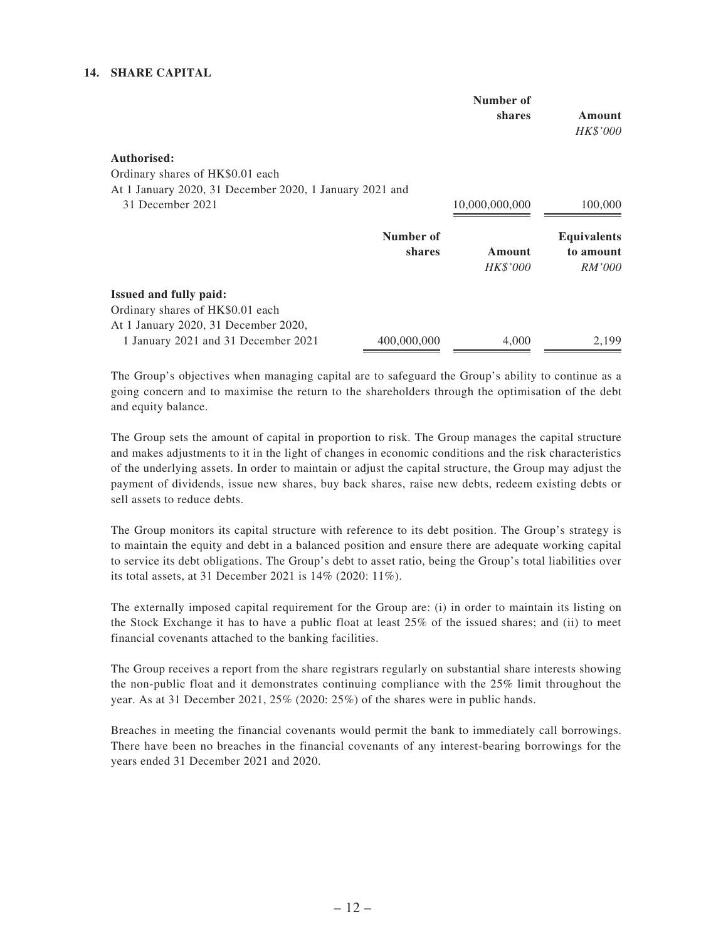#### **14. SHARE CAPITAL**

|                                                                   |                            | Number of<br>shares | Amount<br>HK\$'000                        |
|-------------------------------------------------------------------|----------------------------|---------------------|-------------------------------------------|
| Authorised:                                                       |                            |                     |                                           |
| Ordinary shares of HK\$0.01 each                                  |                            |                     |                                           |
| At 1 January 2020, 31 December 2020, 1 January 2021 and           |                            |                     |                                           |
| 31 December 2021                                                  |                            | 10,000,000,000      | 100,000                                   |
|                                                                   | Number of<br><b>shares</b> | Amount<br>HK\$'000  | <b>Equivalents</b><br>to amount<br>RM'000 |
| <b>Issued and fully paid:</b><br>Ordinary shares of HK\$0.01 each |                            |                     |                                           |
| At 1 January 2020, 31 December 2020,                              |                            |                     |                                           |
| 1 January 2021 and 31 December 2021                               | 400,000,000                | 4,000               | 2,199                                     |

The Group's objectives when managing capital are to safeguard the Group's ability to continue as a going concern and to maximise the return to the shareholders through the optimisation of the debt and equity balance.

The Group sets the amount of capital in proportion to risk. The Group manages the capital structure and makes adjustments to it in the light of changes in economic conditions and the risk characteristics of the underlying assets. In order to maintain or adjust the capital structure, the Group may adjust the payment of dividends, issue new shares, buy back shares, raise new debts, redeem existing debts or sell assets to reduce debts.

The Group monitors its capital structure with reference to its debt position. The Group's strategy is to maintain the equity and debt in a balanced position and ensure there are adequate working capital to service its debt obligations. The Group's debt to asset ratio, being the Group's total liabilities over its total assets, at 31 December 2021 is 14% (2020: 11%).

The externally imposed capital requirement for the Group are: (i) in order to maintain its listing on the Stock Exchange it has to have a public float at least 25% of the issued shares; and (ii) to meet financial covenants attached to the banking facilities.

The Group receives a report from the share registrars regularly on substantial share interests showing the non-public float and it demonstrates continuing compliance with the 25% limit throughout the year. As at 31 December 2021, 25% (2020: 25%) of the shares were in public hands.

Breaches in meeting the financial covenants would permit the bank to immediately call borrowings. There have been no breaches in the financial covenants of any interest-bearing borrowings for the years ended 31 December 2021 and 2020.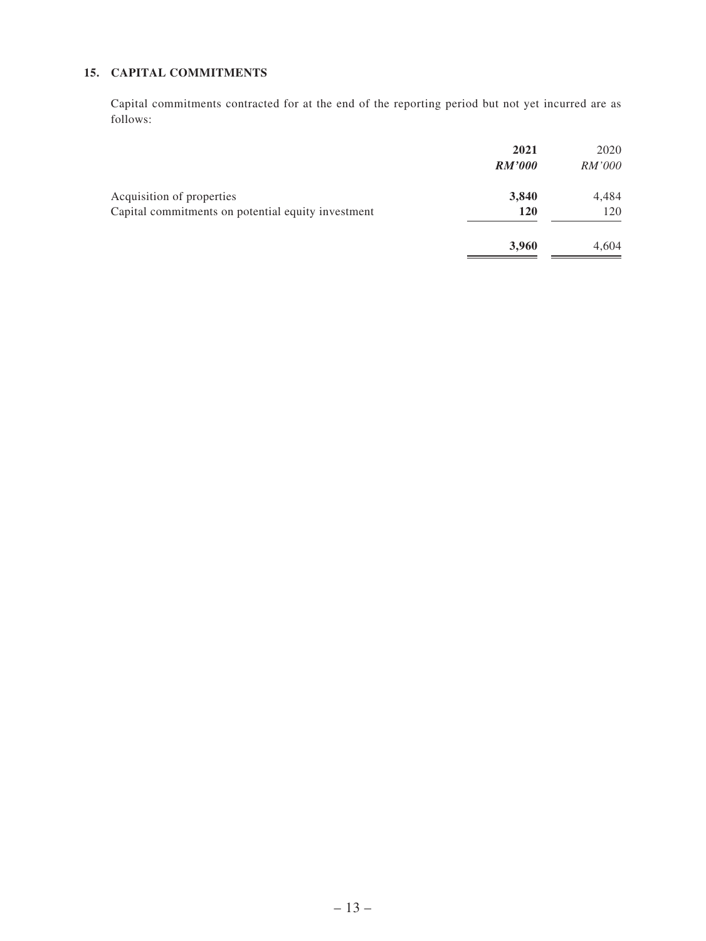### **15. CAPITAL COMMITMENTS**

Capital commitments contracted for at the end of the reporting period but not yet incurred are as follows:

|                                                                                 | 2021<br><b>RM'000</b> | 2020<br><i>RM'000</i> |
|---------------------------------------------------------------------------------|-----------------------|-----------------------|
| Acquisition of properties<br>Capital commitments on potential equity investment | 3,840<br><b>120</b>   | 4,484<br>120          |
|                                                                                 | 3,960                 | 4,604                 |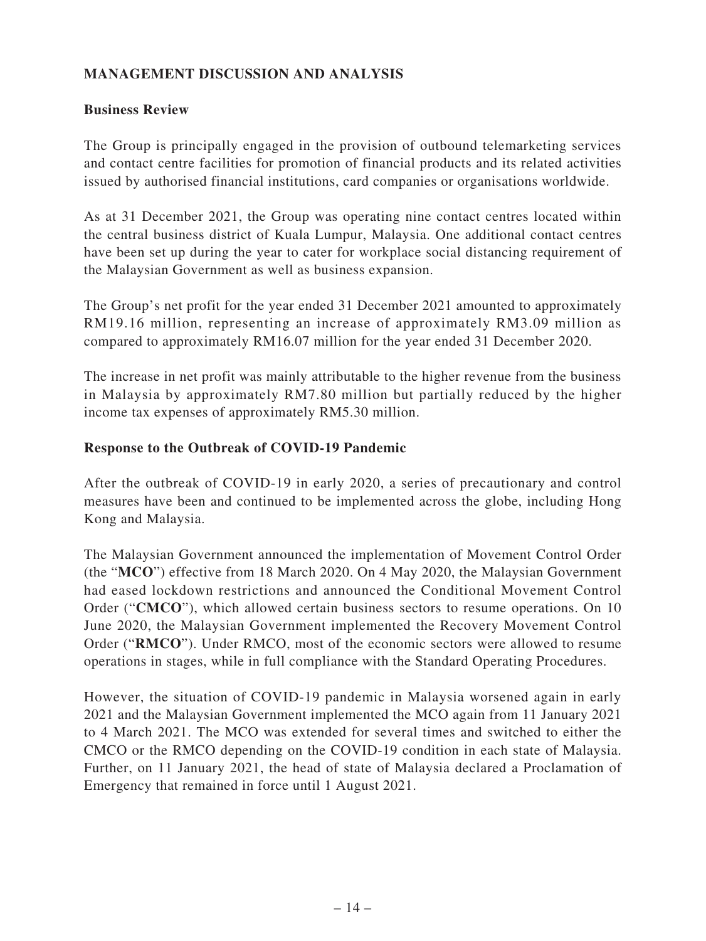# **MANAGEMENT DISCUSSION AND ANALYSIS**

## **Business Review**

The Group is principally engaged in the provision of outbound telemarketing services and contact centre facilities for promotion of financial products and its related activities issued by authorised financial institutions, card companies or organisations worldwide.

As at 31 December 2021, the Group was operating nine contact centres located within the central business district of Kuala Lumpur, Malaysia. One additional contact centres have been set up during the year to cater for workplace social distancing requirement of the Malaysian Government as well as business expansion.

The Group's net profit for the year ended 31 December 2021 amounted to approximately RM19.16 million, representing an increase of approximately RM3.09 million as compared to approximately RM16.07 million for the year ended 31 December 2020.

The increase in net profit was mainly attributable to the higher revenue from the business in Malaysia by approximately RM7.80 million but partially reduced by the higher income tax expenses of approximately RM5.30 million.

### **Response to the Outbreak of COVID-19 Pandemic**

After the outbreak of COVID-19 in early 2020, a series of precautionary and control measures have been and continued to be implemented across the globe, including Hong Kong and Malaysia.

The Malaysian Government announced the implementation of Movement Control Order (the "**MCO**") effective from 18 March 2020. On 4 May 2020, the Malaysian Government had eased lockdown restrictions and announced the Conditional Movement Control Order ("**CMCO**"), which allowed certain business sectors to resume operations. On 10 June 2020, the Malaysian Government implemented the Recovery Movement Control Order ("**RMCO**"). Under RMCO, most of the economic sectors were allowed to resume operations in stages, while in full compliance with the Standard Operating Procedures.

However, the situation of COVID-19 pandemic in Malaysia worsened again in early 2021 and the Malaysian Government implemented the MCO again from 11 January 2021 to 4 March 2021. The MCO was extended for several times and switched to either the CMCO or the RMCO depending on the COVID-19 condition in each state of Malaysia. Further, on 11 January 2021, the head of state of Malaysia declared a Proclamation of Emergency that remained in force until 1 August 2021.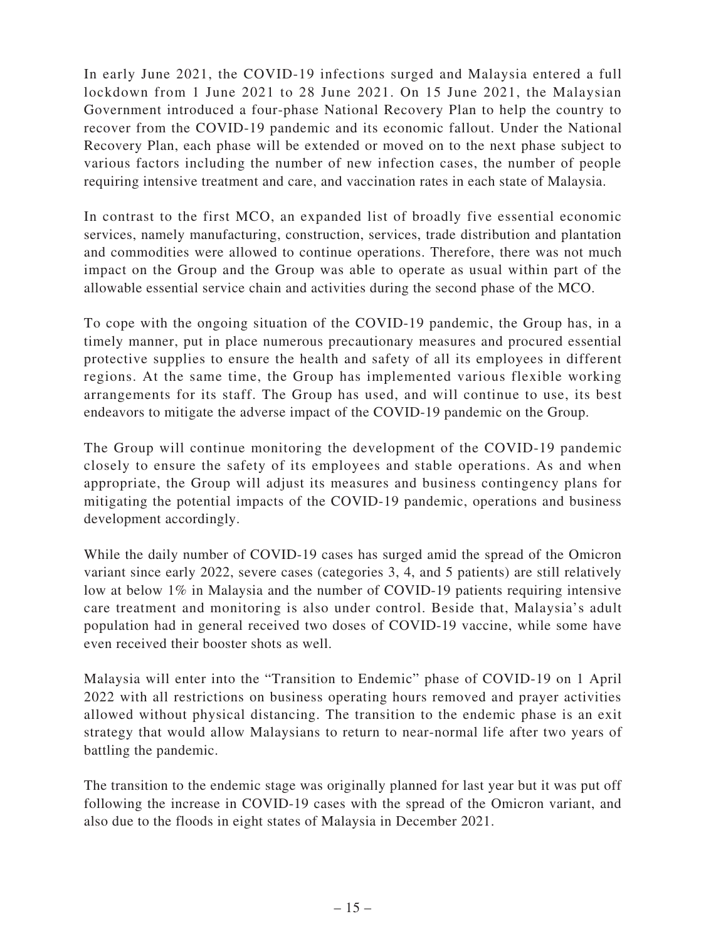In early June 2021, the COVID-19 infections surged and Malaysia entered a full lockdown from 1 June 2021 to 28 June 2021. On 15 June 2021, the Malaysian Government introduced a four-phase National Recovery Plan to help the country to recover from the COVID-19 pandemic and its economic fallout. Under the National Recovery Plan, each phase will be extended or moved on to the next phase subject to various factors including the number of new infection cases, the number of people requiring intensive treatment and care, and vaccination rates in each state of Malaysia.

In contrast to the first MCO, an expanded list of broadly five essential economic services, namely manufacturing, construction, services, trade distribution and plantation and commodities were allowed to continue operations. Therefore, there was not much impact on the Group and the Group was able to operate as usual within part of the allowable essential service chain and activities during the second phase of the MCO.

To cope with the ongoing situation of the COVID-19 pandemic, the Group has, in a timely manner, put in place numerous precautionary measures and procured essential protective supplies to ensure the health and safety of all its employees in different regions. At the same time, the Group has implemented various flexible working arrangements for its staff. The Group has used, and will continue to use, its best endeavors to mitigate the adverse impact of the COVID-19 pandemic on the Group.

The Group will continue monitoring the development of the COVID-19 pandemic closely to ensure the safety of its employees and stable operations. As and when appropriate, the Group will adjust its measures and business contingency plans for mitigating the potential impacts of the COVID-19 pandemic, operations and business development accordingly.

While the daily number of COVID-19 cases has surged amid the spread of the Omicron variant since early 2022, severe cases (categories 3, 4, and 5 patients) are still relatively low at below 1% in Malaysia and the number of COVID-19 patients requiring intensive care treatment and monitoring is also under control. Beside that, Malaysia's adult population had in general received two doses of COVID-19 vaccine, while some have even received their booster shots as well.

Malaysia will enter into the "Transition to Endemic" phase of COVID-19 on 1 April 2022 with all restrictions on business operating hours removed and prayer activities allowed without physical distancing. The transition to the endemic phase is an exit strategy that would allow Malaysians to return to near-normal life after two years of battling the pandemic.

The transition to the endemic stage was originally planned for last year but it was put off following the increase in COVID-19 cases with the spread of the Omicron variant, and also due to the floods in eight states of Malaysia in December 2021.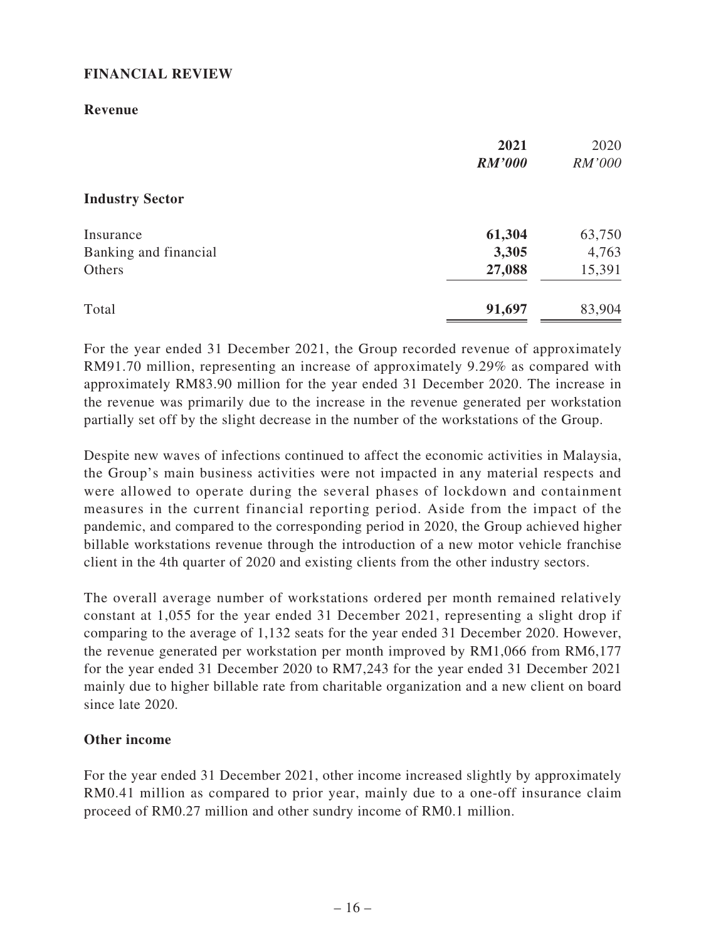### **FINANCIAL REVIEW**

#### **Revenue**

|                        | 2021<br><b>RM'000</b> | 2020<br>RM'000 |
|------------------------|-----------------------|----------------|
| <b>Industry Sector</b> |                       |                |
| Insurance              | 61,304                | 63,750         |
| Banking and financial  | 3,305                 | 4,763          |
| Others                 | 27,088                | 15,391         |
| Total                  | 91,697                | 83,904         |

For the year ended 31 December 2021, the Group recorded revenue of approximately RM91.70 million, representing an increase of approximately 9.29% as compared with approximately RM83.90 million for the year ended 31 December 2020. The increase in the revenue was primarily due to the increase in the revenue generated per workstation partially set off by the slight decrease in the number of the workstations of the Group.

Despite new waves of infections continued to affect the economic activities in Malaysia, the Group's main business activities were not impacted in any material respects and were allowed to operate during the several phases of lockdown and containment measures in the current financial reporting period. Aside from the impact of the pandemic, and compared to the corresponding period in 2020, the Group achieved higher billable workstations revenue through the introduction of a new motor vehicle franchise client in the 4th quarter of 2020 and existing clients from the other industry sectors.

The overall average number of workstations ordered per month remained relatively constant at 1,055 for the year ended 31 December 2021, representing a slight drop if comparing to the average of 1,132 seats for the year ended 31 December 2020. However, the revenue generated per workstation per month improved by RM1,066 from RM6,177 for the year ended 31 December 2020 to RM7,243 for the year ended 31 December 2021 mainly due to higher billable rate from charitable organization and a new client on board since late 2020.

### **Other income**

For the year ended 31 December 2021, other income increased slightly by approximately RM0.41 million as compared to prior year, mainly due to a one-off insurance claim proceed of RM0.27 million and other sundry income of RM0.1 million.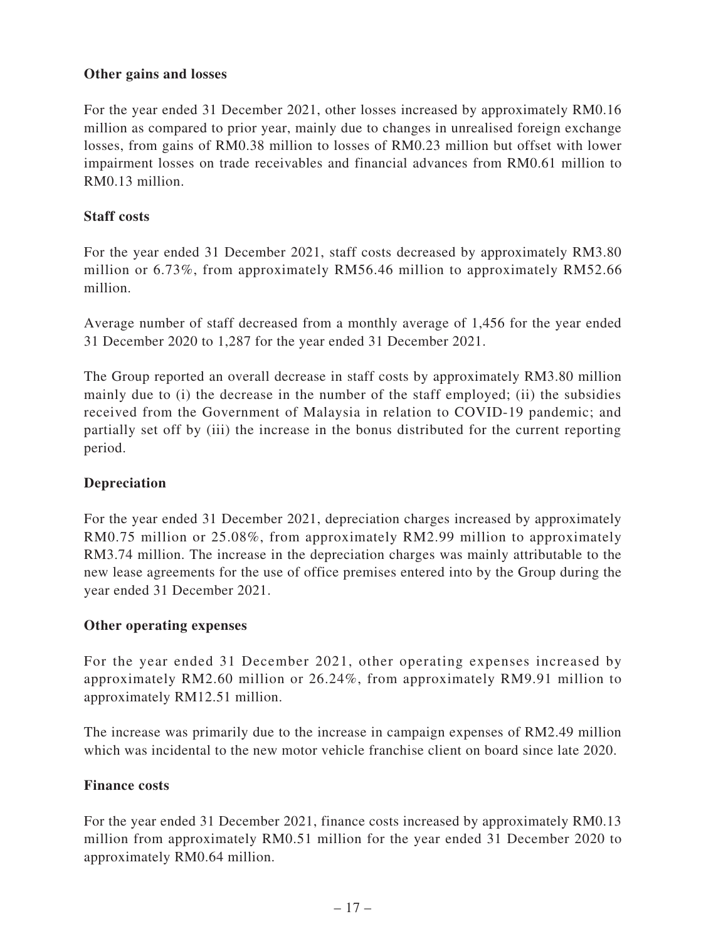### **Other gains and losses**

For the year ended 31 December 2021, other losses increased by approximately RM0.16 million as compared to prior year, mainly due to changes in unrealised foreign exchange losses, from gains of RM0.38 million to losses of RM0.23 million but offset with lower impairment losses on trade receivables and financial advances from RM0.61 million to RM0.13 million.

### **Staff costs**

For the year ended 31 December 2021, staff costs decreased by approximately RM3.80 million or 6.73%, from approximately RM56.46 million to approximately RM52.66 million.

Average number of staff decreased from a monthly average of 1,456 for the year ended 31 December 2020 to 1,287 for the year ended 31 December 2021.

The Group reported an overall decrease in staff costs by approximately RM3.80 million mainly due to (i) the decrease in the number of the staff employed; (ii) the subsidies received from the Government of Malaysia in relation to COVID-19 pandemic; and partially set off by (iii) the increase in the bonus distributed for the current reporting period.

# **Depreciation**

For the year ended 31 December 2021, depreciation charges increased by approximately RM0.75 million or 25.08%, from approximately RM2.99 million to approximately RM3.74 million. The increase in the depreciation charges was mainly attributable to the new lease agreements for the use of office premises entered into by the Group during the year ended 31 December 2021.

### **Other operating expenses**

For the year ended 31 December 2021, other operating expenses increased by approximately RM2.60 million or 26.24%, from approximately RM9.91 million to approximately RM12.51 million.

The increase was primarily due to the increase in campaign expenses of RM2.49 million which was incidental to the new motor vehicle franchise client on board since late 2020.

### **Finance costs**

For the year ended 31 December 2021, finance costs increased by approximately RM0.13 million from approximately RM0.51 million for the year ended 31 December 2020 to approximately RM0.64 million.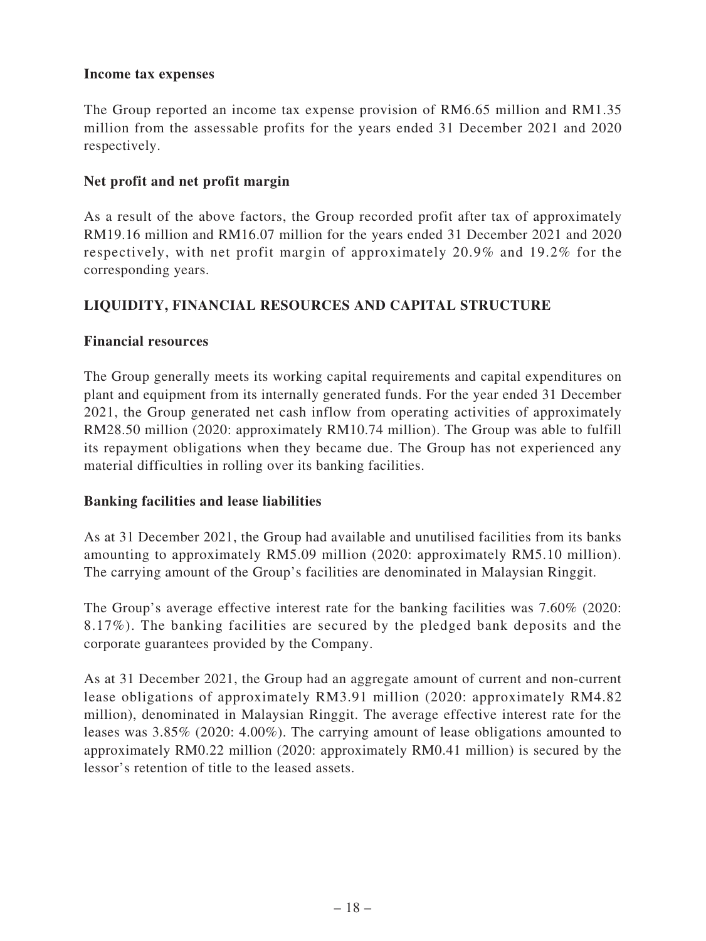#### **Income tax expenses**

The Group reported an income tax expense provision of RM6.65 million and RM1.35 million from the assessable profits for the years ended 31 December 2021 and 2020 respectively.

### **Net profit and net profit margin**

As a result of the above factors, the Group recorded profit after tax of approximately RM19.16 million and RM16.07 million for the years ended 31 December 2021 and 2020 respectively, with net profit margin of approximately 20.9% and 19.2% for the corresponding years.

# **LIQUIDITY, FINANCIAL RESOURCES AND CAPITAL STRUCTURE**

### **Financial resources**

The Group generally meets its working capital requirements and capital expenditures on plant and equipment from its internally generated funds. For the year ended 31 December 2021, the Group generated net cash inflow from operating activities of approximately RM28.50 million (2020: approximately RM10.74 million). The Group was able to fulfill its repayment obligations when they became due. The Group has not experienced any material difficulties in rolling over its banking facilities.

### **Banking facilities and lease liabilities**

As at 31 December 2021, the Group had available and unutilised facilities from its banks amounting to approximately RM5.09 million (2020: approximately RM5.10 million). The carrying amount of the Group's facilities are denominated in Malaysian Ringgit.

The Group's average effective interest rate for the banking facilities was 7.60% (2020: 8.17%). The banking facilities are secured by the pledged bank deposits and the corporate guarantees provided by the Company.

As at 31 December 2021, the Group had an aggregate amount of current and non-current lease obligations of approximately RM3.91 million (2020: approximately RM4.82 million), denominated in Malaysian Ringgit. The average effective interest rate for the leases was 3.85% (2020: 4.00%). The carrying amount of lease obligations amounted to approximately RM0.22 million (2020: approximately RM0.41 million) is secured by the lessor's retention of title to the leased assets.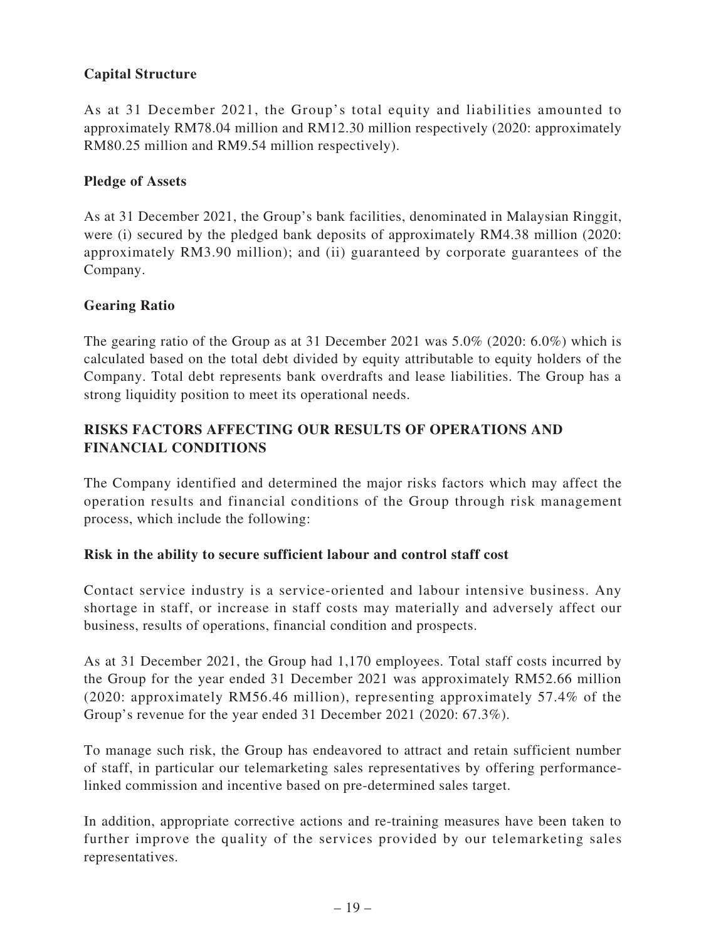# **Capital Structure**

As at 31 December 2021, the Group's total equity and liabilities amounted to approximately RM78.04 million and RM12.30 million respectively (2020: approximately RM80.25 million and RM9.54 million respectively).

## **Pledge of Assets**

As at 31 December 2021, the Group's bank facilities, denominated in Malaysian Ringgit, were (i) secured by the pledged bank deposits of approximately RM4.38 million (2020: approximately RM3.90 million); and (ii) guaranteed by corporate guarantees of the Company.

# **Gearing Ratio**

The gearing ratio of the Group as at 31 December 2021 was 5.0% (2020: 6.0%) which is calculated based on the total debt divided by equity attributable to equity holders of the Company. Total debt represents bank overdrafts and lease liabilities. The Group has a strong liquidity position to meet its operational needs.

# **RISKS FACTORS AFFECTING OUR RESULTS OF OPERATIONS AND FINANCIAL CONDITIONS**

The Company identified and determined the major risks factors which may affect the operation results and financial conditions of the Group through risk management process, which include the following:

### **Risk in the ability to secure sufficient labour and control staff cost**

Contact service industry is a service-oriented and labour intensive business. Any shortage in staff, or increase in staff costs may materially and adversely affect our business, results of operations, financial condition and prospects.

As at 31 December 2021, the Group had 1,170 employees. Total staff costs incurred by the Group for the year ended 31 December 2021 was approximately RM52.66 million (2020: approximately RM56.46 million), representing approximately 57.4% of the Group's revenue for the year ended 31 December 2021 (2020: 67.3%).

To manage such risk, the Group has endeavored to attract and retain sufficient number of staff, in particular our telemarketing sales representatives by offering performancelinked commission and incentive based on pre-determined sales target.

In addition, appropriate corrective actions and re-training measures have been taken to further improve the quality of the services provided by our telemarketing sales representatives.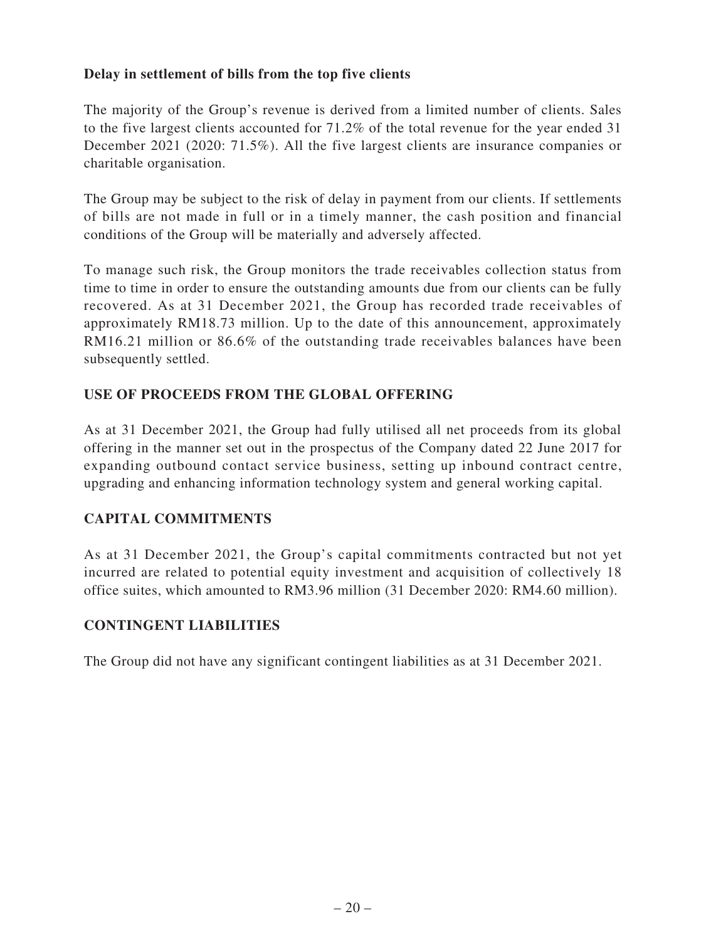# **Delay in settlement of bills from the top five clients**

The majority of the Group's revenue is derived from a limited number of clients. Sales to the five largest clients accounted for 71.2% of the total revenue for the year ended 31 December 2021 (2020: 71.5%). All the five largest clients are insurance companies or charitable organisation.

The Group may be subject to the risk of delay in payment from our clients. If settlements of bills are not made in full or in a timely manner, the cash position and financial conditions of the Group will be materially and adversely affected.

To manage such risk, the Group monitors the trade receivables collection status from time to time in order to ensure the outstanding amounts due from our clients can be fully recovered. As at 31 December 2021, the Group has recorded trade receivables of approximately RM18.73 million. Up to the date of this announcement, approximately RM16.21 million or 86.6% of the outstanding trade receivables balances have been subsequently settled.

# **USE OF PROCEEDS FROM THE GLOBAL OFFERING**

As at 31 December 2021, the Group had fully utilised all net proceeds from its global offering in the manner set out in the prospectus of the Company dated 22 June 2017 for expanding outbound contact service business, setting up inbound contract centre, upgrading and enhancing information technology system and general working capital.

### **CAPITAL COMMITMENTS**

As at 31 December 2021, the Group's capital commitments contracted but not yet incurred are related to potential equity investment and acquisition of collectively 18 office suites, which amounted to RM3.96 million (31 December 2020: RM4.60 million).

### **CONTINGENT LIABILITIES**

The Group did not have any significant contingent liabilities as at 31 December 2021.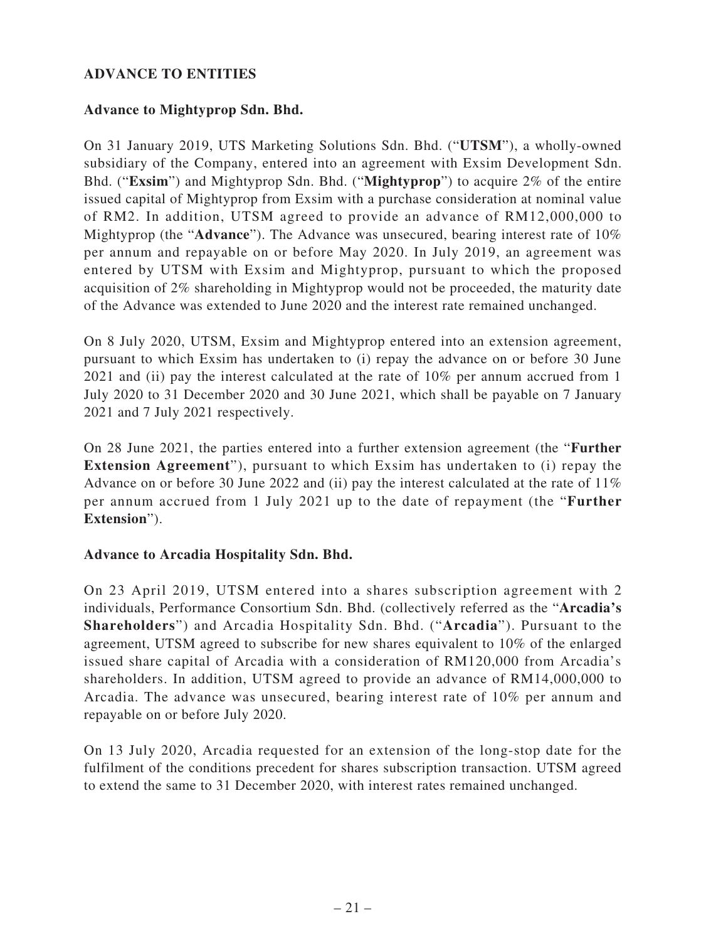# **ADVANCE TO ENTITIES**

### **Advance to Mightyprop Sdn. Bhd.**

On 31 January 2019, UTS Marketing Solutions Sdn. Bhd. ("**UTSM**"), a wholly-owned subsidiary of the Company, entered into an agreement with Exsim Development Sdn. Bhd. ("**Exsim**") and Mightyprop Sdn. Bhd. ("**Mightyprop**") to acquire 2% of the entire issued capital of Mightyprop from Exsim with a purchase consideration at nominal value of RM2. In addition, UTSM agreed to provide an advance of RM12,000,000 to Mightyprop (the "**Advance**"). The Advance was unsecured, bearing interest rate of 10% per annum and repayable on or before May 2020. In July 2019, an agreement was entered by UTSM with Exsim and Mightyprop, pursuant to which the proposed acquisition of 2% shareholding in Mightyprop would not be proceeded, the maturity date of the Advance was extended to June 2020 and the interest rate remained unchanged.

On 8 July 2020, UTSM, Exsim and Mightyprop entered into an extension agreement, pursuant to which Exsim has undertaken to (i) repay the advance on or before 30 June 2021 and (ii) pay the interest calculated at the rate of 10% per annum accrued from 1 July 2020 to 31 December 2020 and 30 June 2021, which shall be payable on 7 January 2021 and 7 July 2021 respectively.

On 28 June 2021, the parties entered into a further extension agreement (the "**Further Extension Agreement**"), pursuant to which Exsim has undertaken to (i) repay the Advance on or before 30 June 2022 and (ii) pay the interest calculated at the rate of 11% per annum accrued from 1 July 2021 up to the date of repayment (the "**Further Extension**").

#### **Advance to Arcadia Hospitality Sdn. Bhd.**

On 23 April 2019, UTSM entered into a shares subscription agreement with 2 individuals, Performance Consortium Sdn. Bhd. (collectively referred as the "**Arcadia's Shareholders**") and Arcadia Hospitality Sdn. Bhd. ("**Arcadia**"). Pursuant to the agreement, UTSM agreed to subscribe for new shares equivalent to 10% of the enlarged issued share capital of Arcadia with a consideration of RM120,000 from Arcadia's shareholders. In addition, UTSM agreed to provide an advance of RM14,000,000 to Arcadia. The advance was unsecured, bearing interest rate of 10% per annum and repayable on or before July 2020.

On 13 July 2020, Arcadia requested for an extension of the long-stop date for the fulfilment of the conditions precedent for shares subscription transaction. UTSM agreed to extend the same to 31 December 2020, with interest rates remained unchanged.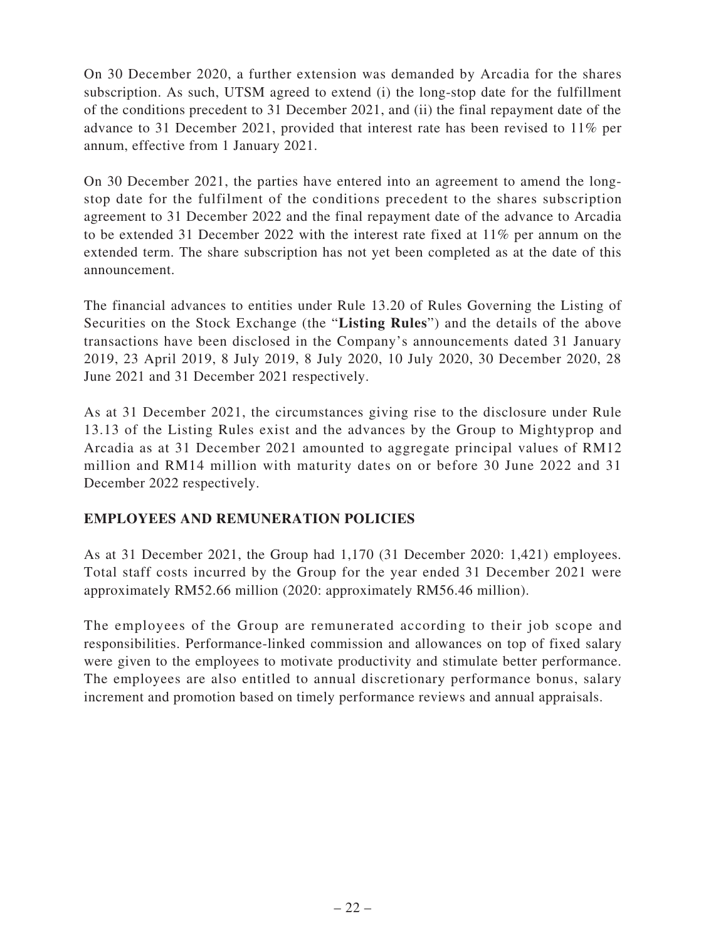On 30 December 2020, a further extension was demanded by Arcadia for the shares subscription. As such, UTSM agreed to extend (i) the long-stop date for the fulfillment of the conditions precedent to 31 December 2021, and (ii) the final repayment date of the advance to 31 December 2021, provided that interest rate has been revised to 11% per annum, effective from 1 January 2021.

On 30 December 2021, the parties have entered into an agreement to amend the longstop date for the fulfilment of the conditions precedent to the shares subscription agreement to 31 December 2022 and the final repayment date of the advance to Arcadia to be extended 31 December 2022 with the interest rate fixed at 11% per annum on the extended term. The share subscription has not yet been completed as at the date of this announcement.

The financial advances to entities under Rule 13.20 of Rules Governing the Listing of Securities on the Stock Exchange (the "**Listing Rules**") and the details of the above transactions have been disclosed in the Company's announcements dated 31 January 2019, 23 April 2019, 8 July 2019, 8 July 2020, 10 July 2020, 30 December 2020, 28 June 2021 and 31 December 2021 respectively.

As at 31 December 2021, the circumstances giving rise to the disclosure under Rule 13.13 of the Listing Rules exist and the advances by the Group to Mightyprop and Arcadia as at 31 December 2021 amounted to aggregate principal values of RM12 million and RM14 million with maturity dates on or before 30 June 2022 and 31 December 2022 respectively.

### **EMPLOYEES AND REMUNERATION POLICIES**

As at 31 December 2021, the Group had 1,170 (31 December 2020: 1,421) employees. Total staff costs incurred by the Group for the year ended 31 December 2021 were approximately RM52.66 million (2020: approximately RM56.46 million).

The employees of the Group are remunerated according to their job scope and responsibilities. Performance-linked commission and allowances on top of fixed salary were given to the employees to motivate productivity and stimulate better performance. The employees are also entitled to annual discretionary performance bonus, salary increment and promotion based on timely performance reviews and annual appraisals.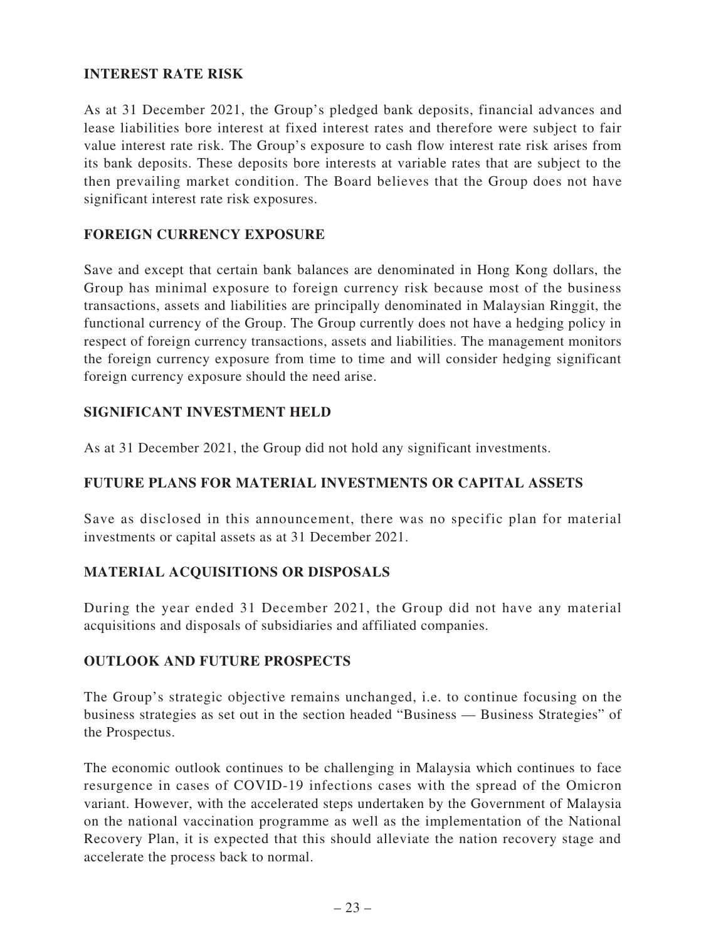# **INTEREST RATE RISK**

As at 31 December 2021, the Group's pledged bank deposits, financial advances and lease liabilities bore interest at fixed interest rates and therefore were subject to fair value interest rate risk. The Group's exposure to cash flow interest rate risk arises from its bank deposits. These deposits bore interests at variable rates that are subject to the then prevailing market condition. The Board believes that the Group does not have significant interest rate risk exposures.

### **FOREIGN CURRENCY EXPOSURE**

Save and except that certain bank balances are denominated in Hong Kong dollars, the Group has minimal exposure to foreign currency risk because most of the business transactions, assets and liabilities are principally denominated in Malaysian Ringgit, the functional currency of the Group. The Group currently does not have a hedging policy in respect of foreign currency transactions, assets and liabilities. The management monitors the foreign currency exposure from time to time and will consider hedging significant foreign currency exposure should the need arise.

### **SIGNIFICANT INVESTMENT HELD**

As at 31 December 2021, the Group did not hold any significant investments.

### **FUTURE PLANS FOR MATERIAL INVESTMENTS OR CAPITAL ASSETS**

Save as disclosed in this announcement, there was no specific plan for material investments or capital assets as at 31 December 2021.

### **MATERIAL ACQUISITIONS OR DISPOSALS**

During the year ended 31 December 2021, the Group did not have any material acquisitions and disposals of subsidiaries and affiliated companies.

### **OUTLOOK AND FUTURE PROSPECTS**

The Group's strategic objective remains unchanged, i.e. to continue focusing on the business strategies as set out in the section headed "Business — Business Strategies" of the Prospectus.

The economic outlook continues to be challenging in Malaysia which continues to face resurgence in cases of COVID-19 infections cases with the spread of the Omicron variant. However, with the accelerated steps undertaken by the Government of Malaysia on the national vaccination programme as well as the implementation of the National Recovery Plan, it is expected that this should alleviate the nation recovery stage and accelerate the process back to normal.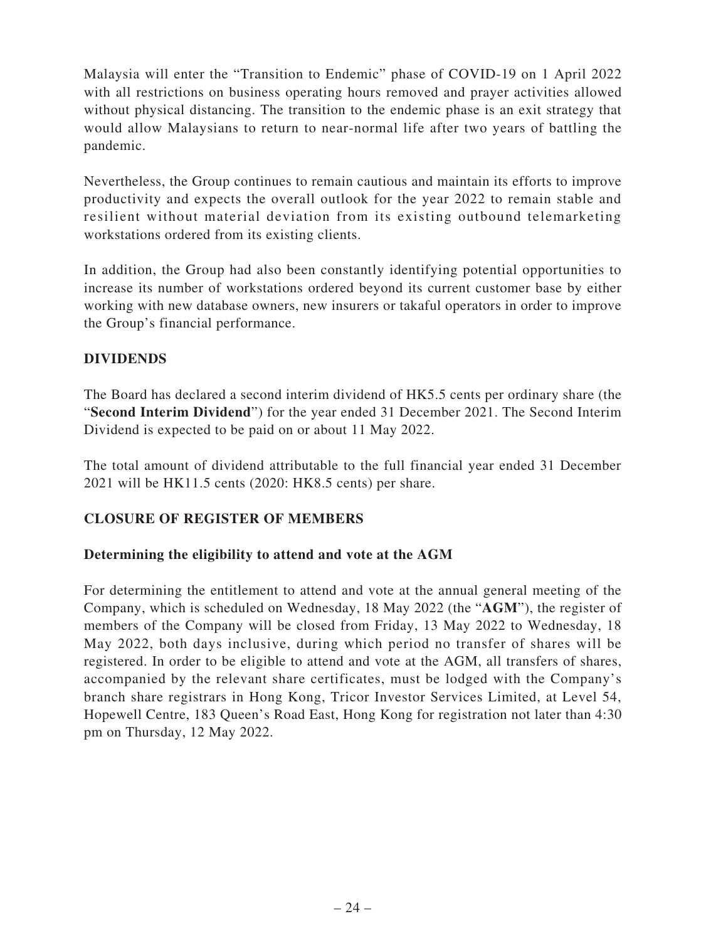Malaysia will enter the "Transition to Endemic" phase of COVID-19 on 1 April 2022 with all restrictions on business operating hours removed and prayer activities allowed without physical distancing. The transition to the endemic phase is an exit strategy that would allow Malaysians to return to near-normal life after two years of battling the pandemic.

Nevertheless, the Group continues to remain cautious and maintain its efforts to improve productivity and expects the overall outlook for the year 2022 to remain stable and resilient without material deviation from its existing outbound telemarketing workstations ordered from its existing clients.

In addition, the Group had also been constantly identifying potential opportunities to increase its number of workstations ordered beyond its current customer base by either working with new database owners, new insurers or takaful operators in order to improve the Group's financial performance.

# **DIVIDENDS**

The Board has declared a second interim dividend of HK5.5 cents per ordinary share (the "**Second Interim Dividend**") for the year ended 31 December 2021. The Second Interim Dividend is expected to be paid on or about 11 May 2022.

The total amount of dividend attributable to the full financial year ended 31 December 2021 will be HK11.5 cents (2020: HK8.5 cents) per share.

# **CLOSURE OF REGISTER OF MEMBERS**

### **Determining the eligibility to attend and vote at the AGM**

For determining the entitlement to attend and vote at the annual general meeting of the Company, which is scheduled on Wednesday, 18 May 2022 (the "**AGM**"), the register of members of the Company will be closed from Friday, 13 May 2022 to Wednesday, 18 May 2022, both days inclusive, during which period no transfer of shares will be registered. In order to be eligible to attend and vote at the AGM, all transfers of shares, accompanied by the relevant share certificates, must be lodged with the Company's branch share registrars in Hong Kong, Tricor Investor Services Limited, at Level 54, Hopewell Centre, 183 Queen's Road East, Hong Kong for registration not later than 4:30 pm on Thursday, 12 May 2022.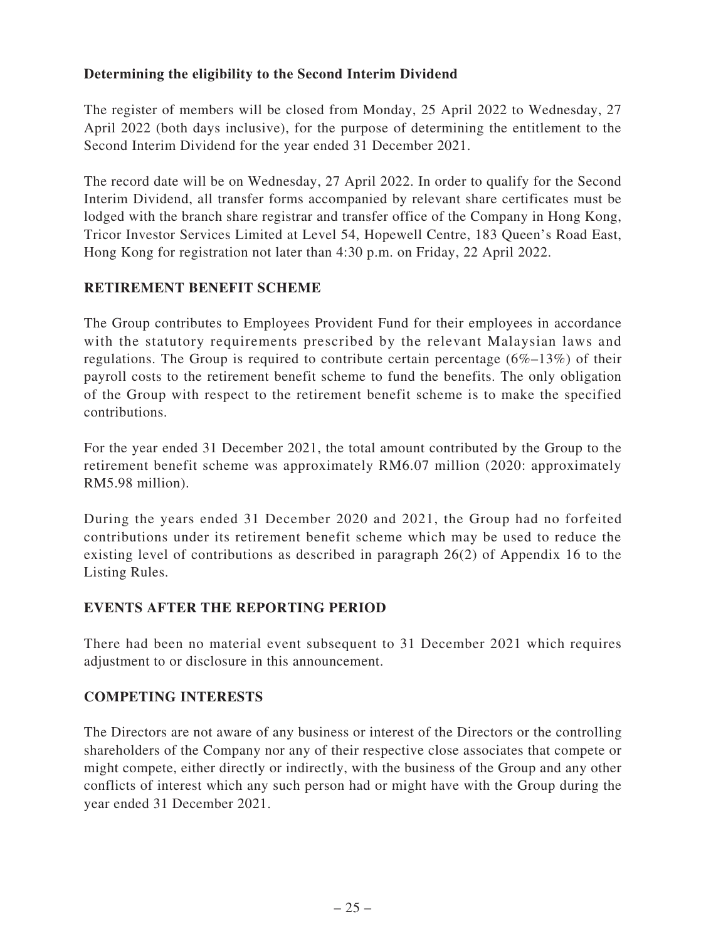# **Determining the eligibility to the Second Interim Dividend**

The register of members will be closed from Monday, 25 April 2022 to Wednesday, 27 April 2022 (both days inclusive), for the purpose of determining the entitlement to the Second Interim Dividend for the year ended 31 December 2021.

The record date will be on Wednesday, 27 April 2022. In order to qualify for the Second Interim Dividend, all transfer forms accompanied by relevant share certificates must be lodged with the branch share registrar and transfer office of the Company in Hong Kong, Tricor Investor Services Limited at Level 54, Hopewell Centre, 183 Queen's Road East, Hong Kong for registration not later than 4:30 p.m. on Friday, 22 April 2022.

# **RETIREMENT BENEFIT SCHEME**

The Group contributes to Employees Provident Fund for their employees in accordance with the statutory requirements prescribed by the relevant Malaysian laws and regulations. The Group is required to contribute certain percentage (6%–13%) of their payroll costs to the retirement benefit scheme to fund the benefits. The only obligation of the Group with respect to the retirement benefit scheme is to make the specified contributions.

For the year ended 31 December 2021, the total amount contributed by the Group to the retirement benefit scheme was approximately RM6.07 million (2020: approximately RM5.98 million).

During the years ended 31 December 2020 and 2021, the Group had no forfeited contributions under its retirement benefit scheme which may be used to reduce the existing level of contributions as described in paragraph 26(2) of Appendix 16 to the Listing Rules.

### **EVENTS AFTER THE REPORTING PERIOD**

There had been no material event subsequent to 31 December 2021 which requires adjustment to or disclosure in this announcement.

### **COMPETING INTERESTS**

The Directors are not aware of any business or interest of the Directors or the controlling shareholders of the Company nor any of their respective close associates that compete or might compete, either directly or indirectly, with the business of the Group and any other conflicts of interest which any such person had or might have with the Group during the year ended 31 December 2021.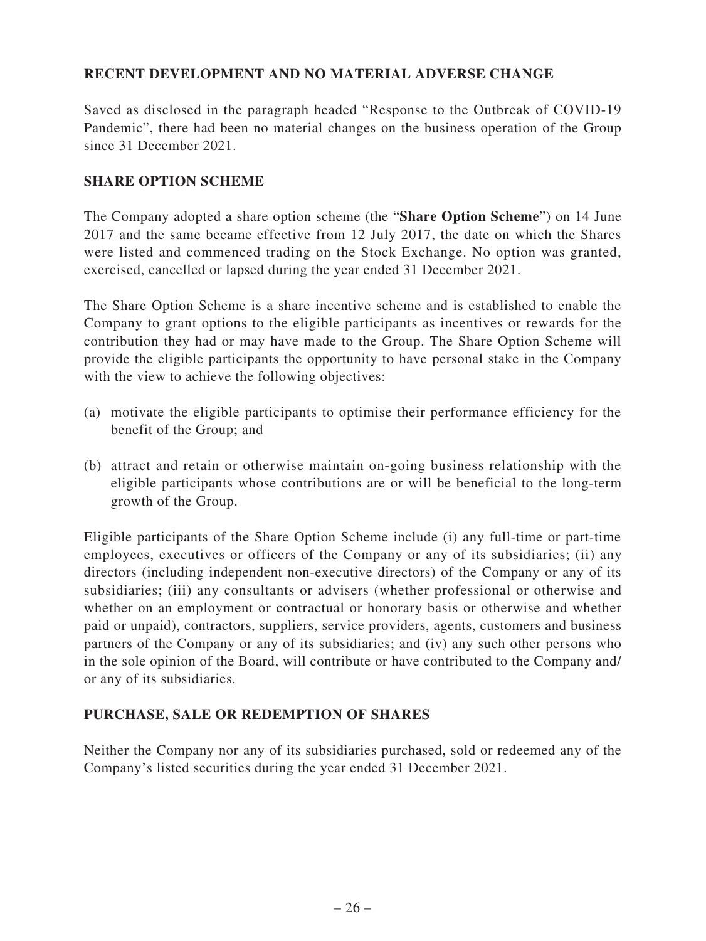# **RECENT DEVELOPMENT AND NO MATERIAL ADVERSE CHANGE**

Saved as disclosed in the paragraph headed "Response to the Outbreak of COVID-19 Pandemic", there had been no material changes on the business operation of the Group since 31 December 2021.

#### **SHARE OPTION SCHEME**

The Company adopted a share option scheme (the "**Share Option Scheme**") on 14 June 2017 and the same became effective from 12 July 2017, the date on which the Shares were listed and commenced trading on the Stock Exchange. No option was granted, exercised, cancelled or lapsed during the year ended 31 December 2021.

The Share Option Scheme is a share incentive scheme and is established to enable the Company to grant options to the eligible participants as incentives or rewards for the contribution they had or may have made to the Group. The Share Option Scheme will provide the eligible participants the opportunity to have personal stake in the Company with the view to achieve the following objectives:

- (a) motivate the eligible participants to optimise their performance efficiency for the benefit of the Group; and
- (b) attract and retain or otherwise maintain on-going business relationship with the eligible participants whose contributions are or will be beneficial to the long-term growth of the Group.

Eligible participants of the Share Option Scheme include (i) any full-time or part-time employees, executives or officers of the Company or any of its subsidiaries; (ii) any directors (including independent non-executive directors) of the Company or any of its subsidiaries; (iii) any consultants or advisers (whether professional or otherwise and whether on an employment or contractual or honorary basis or otherwise and whether paid or unpaid), contractors, suppliers, service providers, agents, customers and business partners of the Company or any of its subsidiaries; and (iv) any such other persons who in the sole opinion of the Board, will contribute or have contributed to the Company and/ or any of its subsidiaries.

### **PURCHASE, SALE OR REDEMPTION OF SHARES**

Neither the Company nor any of its subsidiaries purchased, sold or redeemed any of the Company's listed securities during the year ended 31 December 2021.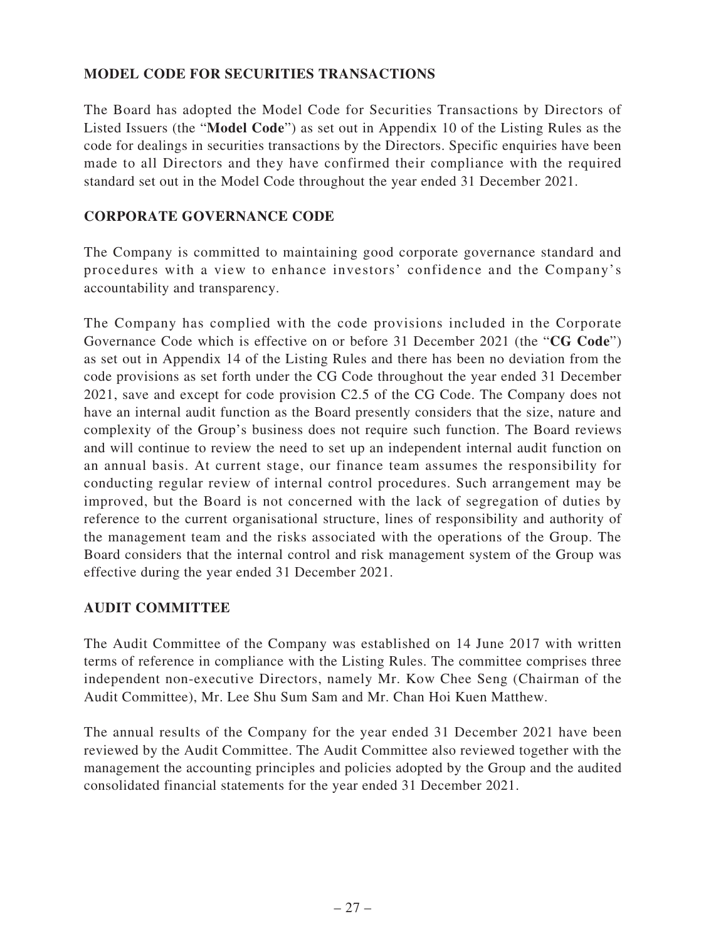# **MODEL CODE FOR SECURITIES TRANSACTIONS**

The Board has adopted the Model Code for Securities Transactions by Directors of Listed Issuers (the "**Model Code**") as set out in Appendix 10 of the Listing Rules as the code for dealings in securities transactions by the Directors. Specific enquiries have been made to all Directors and they have confirmed their compliance with the required standard set out in the Model Code throughout the year ended 31 December 2021.

# **CORPORATE GOVERNANCE CODE**

The Company is committed to maintaining good corporate governance standard and procedures with a view to enhance investors' confidence and the Company's accountability and transparency.

The Company has complied with the code provisions included in the Corporate Governance Code which is effective on or before 31 December 2021 (the "**CG Code**") as set out in Appendix 14 of the Listing Rules and there has been no deviation from the code provisions as set forth under the CG Code throughout the year ended 31 December 2021, save and except for code provision C2.5 of the CG Code. The Company does not have an internal audit function as the Board presently considers that the size, nature and complexity of the Group's business does not require such function. The Board reviews and will continue to review the need to set up an independent internal audit function on an annual basis. At current stage, our finance team assumes the responsibility for conducting regular review of internal control procedures. Such arrangement may be improved, but the Board is not concerned with the lack of segregation of duties by reference to the current organisational structure, lines of responsibility and authority of the management team and the risks associated with the operations of the Group. The Board considers that the internal control and risk management system of the Group was effective during the year ended 31 December 2021.

# **AUDIT COMMITTEE**

The Audit Committee of the Company was established on 14 June 2017 with written terms of reference in compliance with the Listing Rules. The committee comprises three independent non-executive Directors, namely Mr. Kow Chee Seng (Chairman of the Audit Committee), Mr. Lee Shu Sum Sam and Mr. Chan Hoi Kuen Matthew.

The annual results of the Company for the year ended 31 December 2021 have been reviewed by the Audit Committee. The Audit Committee also reviewed together with the management the accounting principles and policies adopted by the Group and the audited consolidated financial statements for the year ended 31 December 2021.